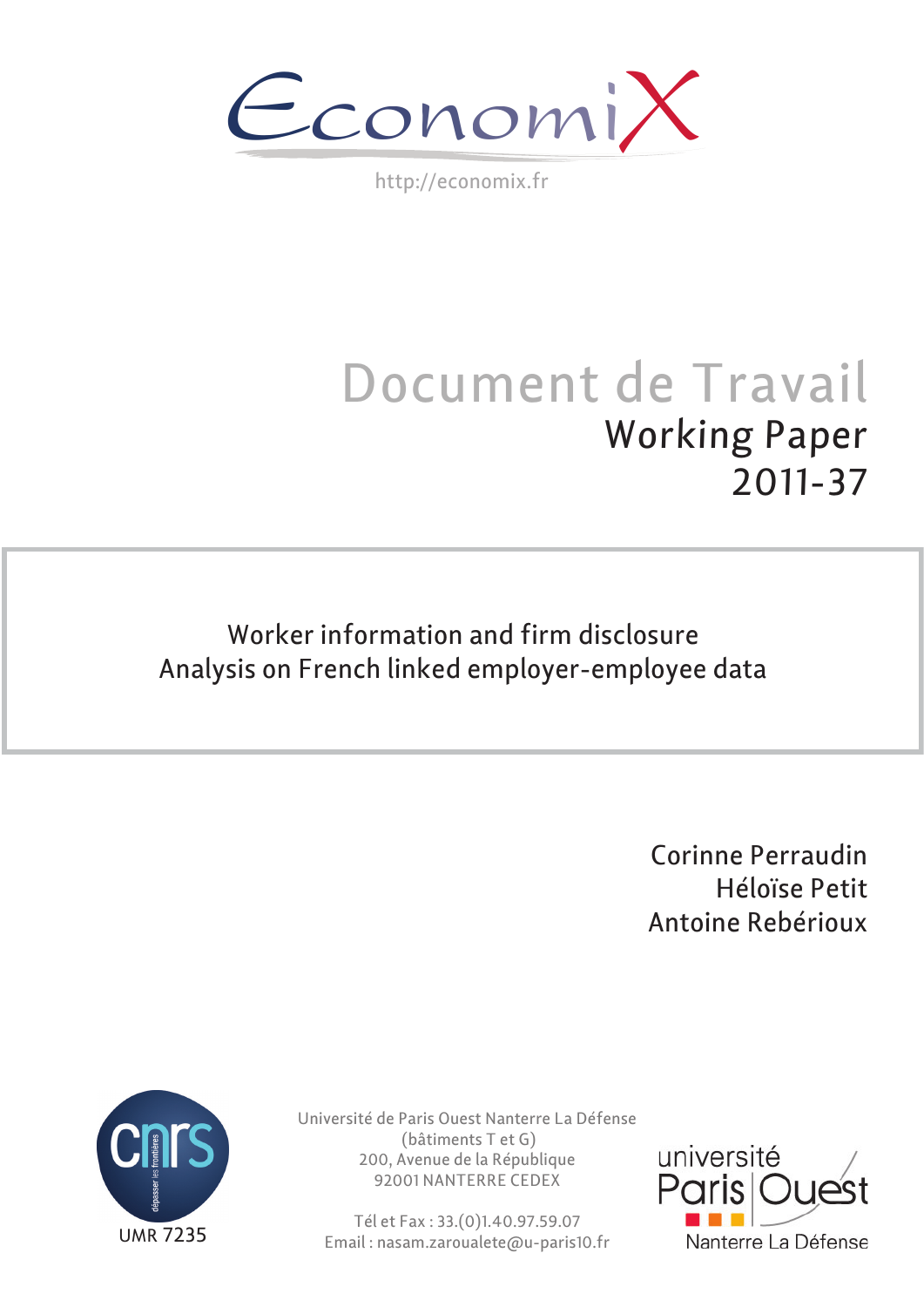$\epsilon$ conomi)

http://economix.fr

# Document de Travail Working Paper 2011-37

Worker information and firm disclosure Analysis on French linked employer-employee data

> Corinne Perraudin Héloïse Petit Antoine Rebérioux



Université de Paris Ouest Nanterre La Défense (bâtiments T et G) 200, Avenue de la République 92001 NANTERRE CEDEX

Tél et Fax : 33.(0)1.40.97.59.07 Email : nasam.zaroualete@u-paris10.fr

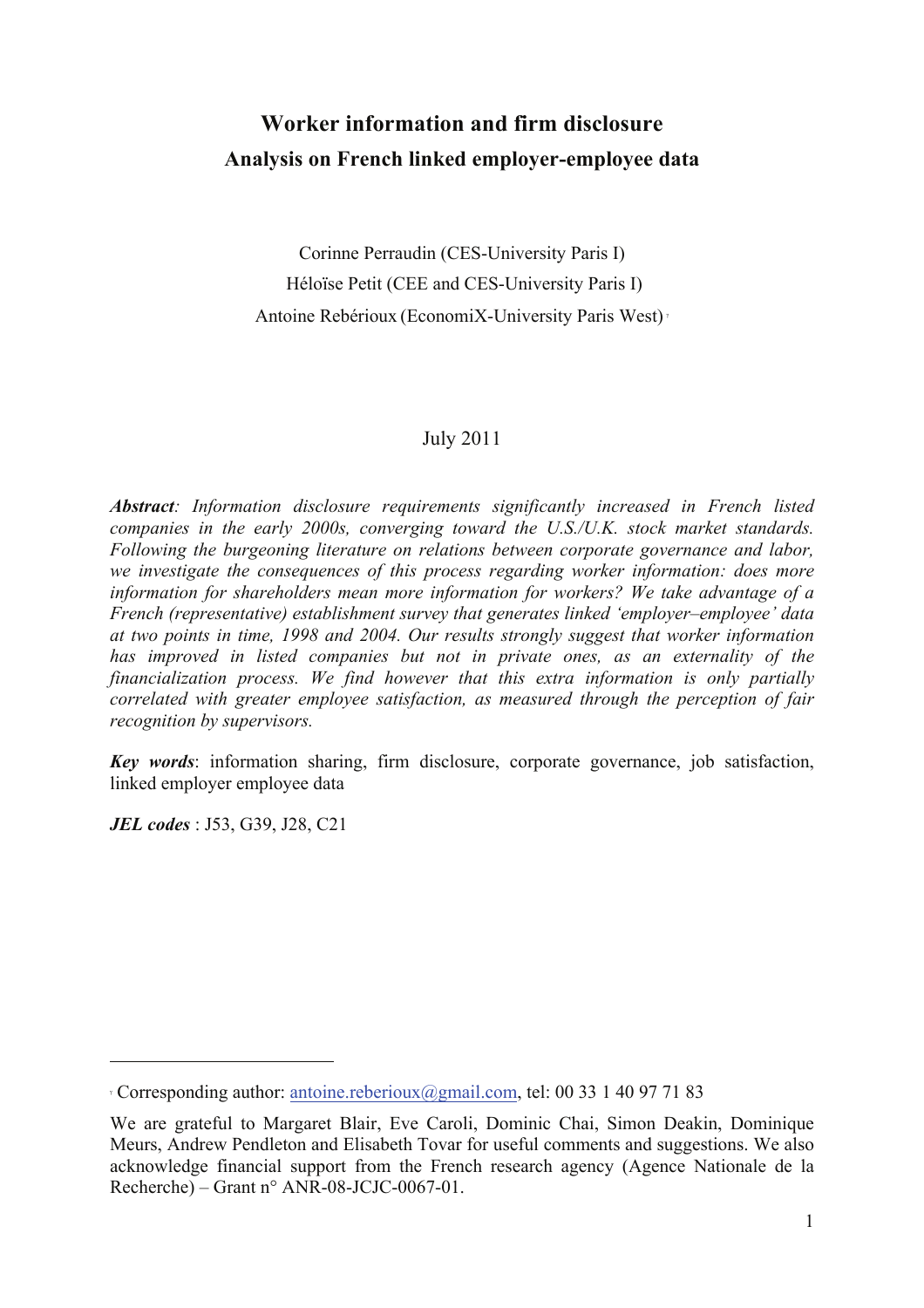## **Worker information and firm disclosure Analysis on French linked employer-employee data**

Corinne Perraudin (CES-University Paris I) Héloïse Petit (CEE and CES-University Paris I) Antoine Rebérioux (EconomiX-University Paris West) !

### July 2011

*Abstract: Information disclosure requirements significantly increased in French listed companies in the early 2000s, converging toward the U.S./U.K. stock market standards. Following the burgeoning literature on relations between corporate governance and labor, we investigate the consequences of this process regarding worker information: does more information for shareholders mean more information for workers? We take advantage of a French (representative) establishment survey that generates linked 'employer–employee' data at two points in time, 1998 and 2004. Our results strongly suggest that worker information has improved in listed companies but not in private ones, as an externality of the financialization process. We find however that this extra information is only partially correlated with greater employee satisfaction, as measured through the perception of fair recognition by supervisors.*

*Key words*: information sharing, firm disclosure, corporate governance, job satisfaction, linked employer employee data

*JEL codes* : J53, G39, J28, C21

 $\overline{a}$ 

<sup>!</sup> Corresponding author: antoine.reberioux@gmail.com, tel: 00 33 1 40 97 71 83

We are grateful to Margaret Blair, Eve Caroli, Dominic Chai, Simon Deakin, Dominique Meurs, Andrew Pendleton and Elisabeth Tovar for useful comments and suggestions. We also acknowledge financial support from the French research agency (Agence Nationale de la Recherche) – Grant n° ANR-08-JCJC-0067-01.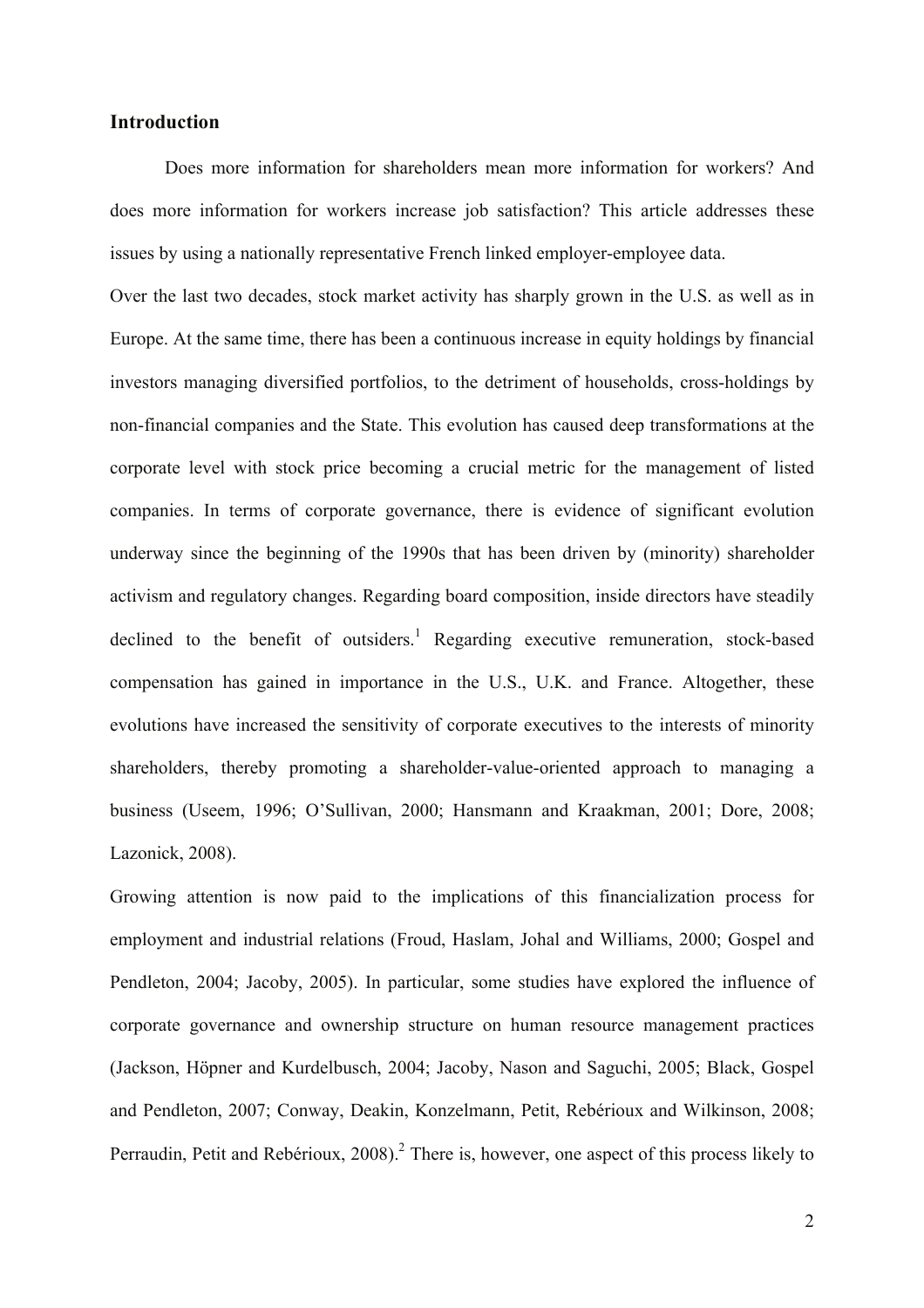#### **Introduction**

Does more information for shareholders mean more information for workers? And does more information for workers increase job satisfaction? This article addresses these issues by using a nationally representative French linked employer-employee data.

Over the last two decades, stock market activity has sharply grown in the U.S. as well as in Europe. At the same time, there has been a continuous increase in equity holdings by financial investors managing diversified portfolios, to the detriment of households, cross-holdings by non-financial companies and the State. This evolution has caused deep transformations at the corporate level with stock price becoming a crucial metric for the management of listed companies. In terms of corporate governance, there is evidence of significant evolution underway since the beginning of the 1990s that has been driven by (minority) shareholder activism and regulatory changes. Regarding board composition, inside directors have steadily declined to the benefit of outsiders.<sup>1</sup> Regarding executive remuneration, stock-based compensation has gained in importance in the U.S., U.K. and France. Altogether, these evolutions have increased the sensitivity of corporate executives to the interests of minority shareholders, thereby promoting a shareholder-value-oriented approach to managing a business (Useem, 1996; O'Sullivan, 2000; Hansmann and Kraakman, 2001; Dore, 2008; Lazonick, 2008).

Growing attention is now paid to the implications of this financialization process for employment and industrial relations (Froud, Haslam, Johal and Williams, 2000; Gospel and Pendleton, 2004; Jacoby, 2005). In particular, some studies have explored the influence of corporate governance and ownership structure on human resource management practices (Jackson, Höpner and Kurdelbusch, 2004; Jacoby, Nason and Saguchi, 2005; Black, Gospel and Pendleton, 2007; Conway, Deakin, Konzelmann, Petit, Rebérioux and Wilkinson, 2008; Perraudin, Petit and Rebérioux,  $2008$ ).<sup>2</sup> There is, however, one aspect of this process likely to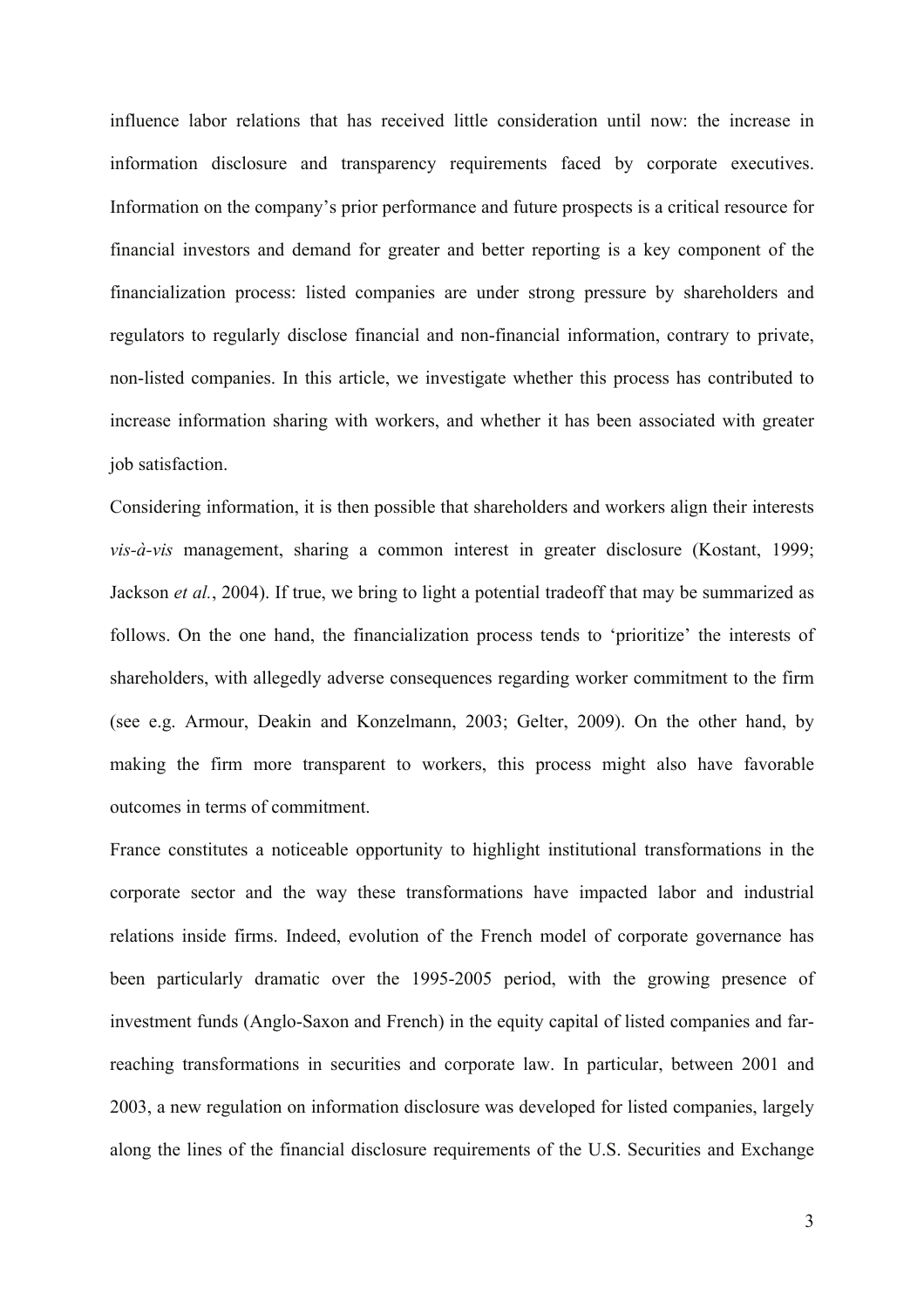influence labor relations that has received little consideration until now: the increase in information disclosure and transparency requirements faced by corporate executives. Information on the company's prior performance and future prospects is a critical resource for financial investors and demand for greater and better reporting is a key component of the financialization process: listed companies are under strong pressure by shareholders and regulators to regularly disclose financial and non-financial information, contrary to private, non-listed companies. In this article, we investigate whether this process has contributed to increase information sharing with workers, and whether it has been associated with greater job satisfaction.

Considering information, it is then possible that shareholders and workers align their interests *vis-à-vis* management, sharing a common interest in greater disclosure (Kostant, 1999; Jackson *et al.*, 2004). If true, we bring to light a potential tradeoff that may be summarized as follows. On the one hand, the financialization process tends to 'prioritize' the interests of shareholders, with allegedly adverse consequences regarding worker commitment to the firm (see e.g. Armour, Deakin and Konzelmann, 2003; Gelter, 2009). On the other hand, by making the firm more transparent to workers, this process might also have favorable outcomes in terms of commitment.

France constitutes a noticeable opportunity to highlight institutional transformations in the corporate sector and the way these transformations have impacted labor and industrial relations inside firms. Indeed, evolution of the French model of corporate governance has been particularly dramatic over the 1995-2005 period, with the growing presence of investment funds (Anglo-Saxon and French) in the equity capital of listed companies and farreaching transformations in securities and corporate law. In particular, between 2001 and 2003, a new regulation on information disclosure was developed for listed companies, largely along the lines of the financial disclosure requirements of the U.S. Securities and Exchange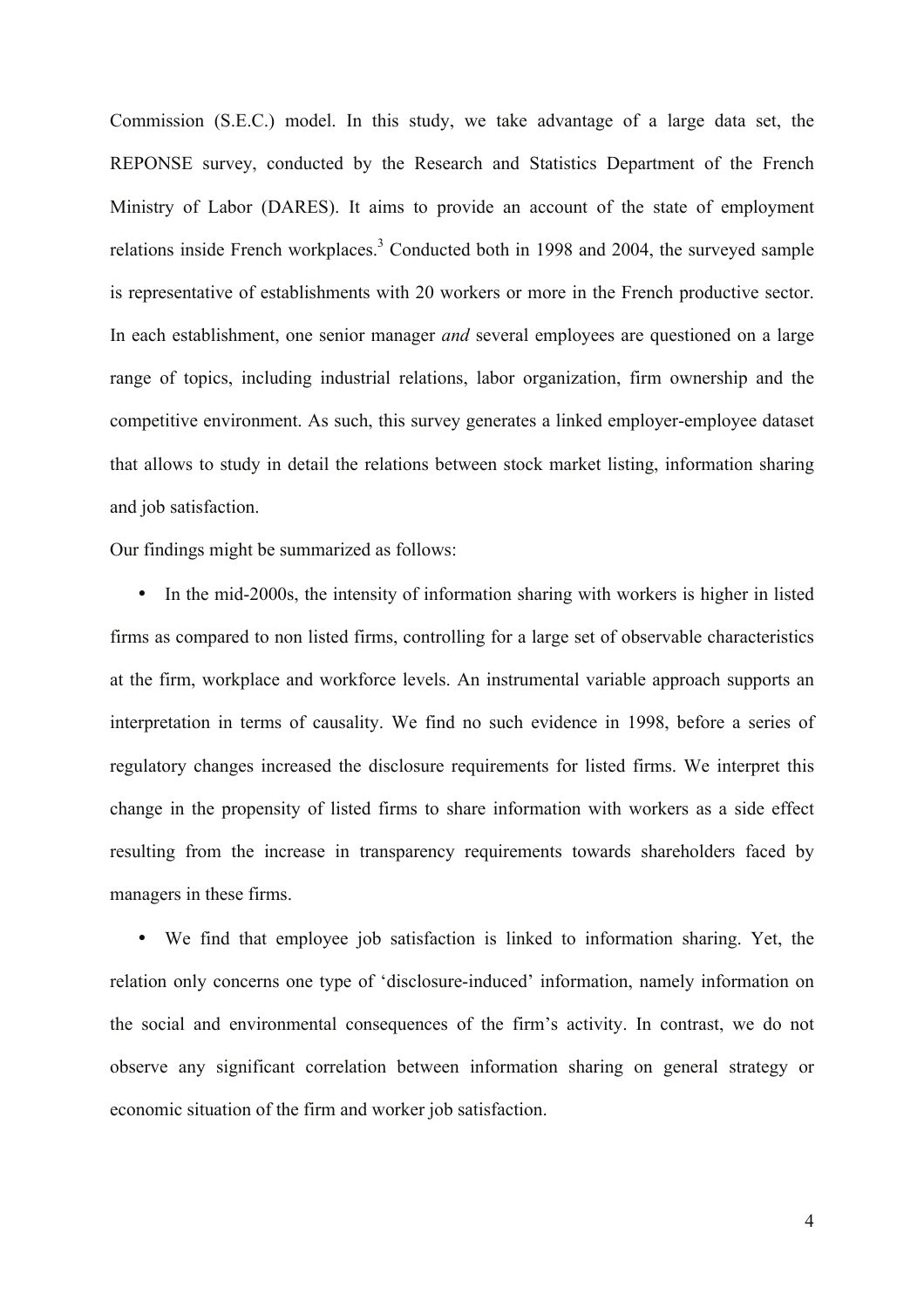Commission (S.E.C.) model. In this study, we take advantage of a large data set, the REPONSE survey, conducted by the Research and Statistics Department of the French Ministry of Labor (DARES). It aims to provide an account of the state of employment relations inside French workplaces.<sup>3</sup> Conducted both in 1998 and 2004, the surveyed sample is representative of establishments with 20 workers or more in the French productive sector. In each establishment, one senior manager *and* several employees are questioned on a large range of topics, including industrial relations, labor organization, firm ownership and the competitive environment. As such, this survey generates a linked employer-employee dataset that allows to study in detail the relations between stock market listing, information sharing and job satisfaction.

Our findings might be summarized as follows:

• In the mid-2000s, the intensity of information sharing with workers is higher in listed firms as compared to non listed firms, controlling for a large set of observable characteristics at the firm, workplace and workforce levels. An instrumental variable approach supports an interpretation in terms of causality. We find no such evidence in 1998, before a series of regulatory changes increased the disclosure requirements for listed firms. We interpret this change in the propensity of listed firms to share information with workers as a side effect resulting from the increase in transparency requirements towards shareholders faced by managers in these firms.

• We find that employee job satisfaction is linked to information sharing. Yet, the relation only concerns one type of 'disclosure-induced' information, namely information on the social and environmental consequences of the firm's activity. In contrast, we do not observe any significant correlation between information sharing on general strategy or economic situation of the firm and worker job satisfaction.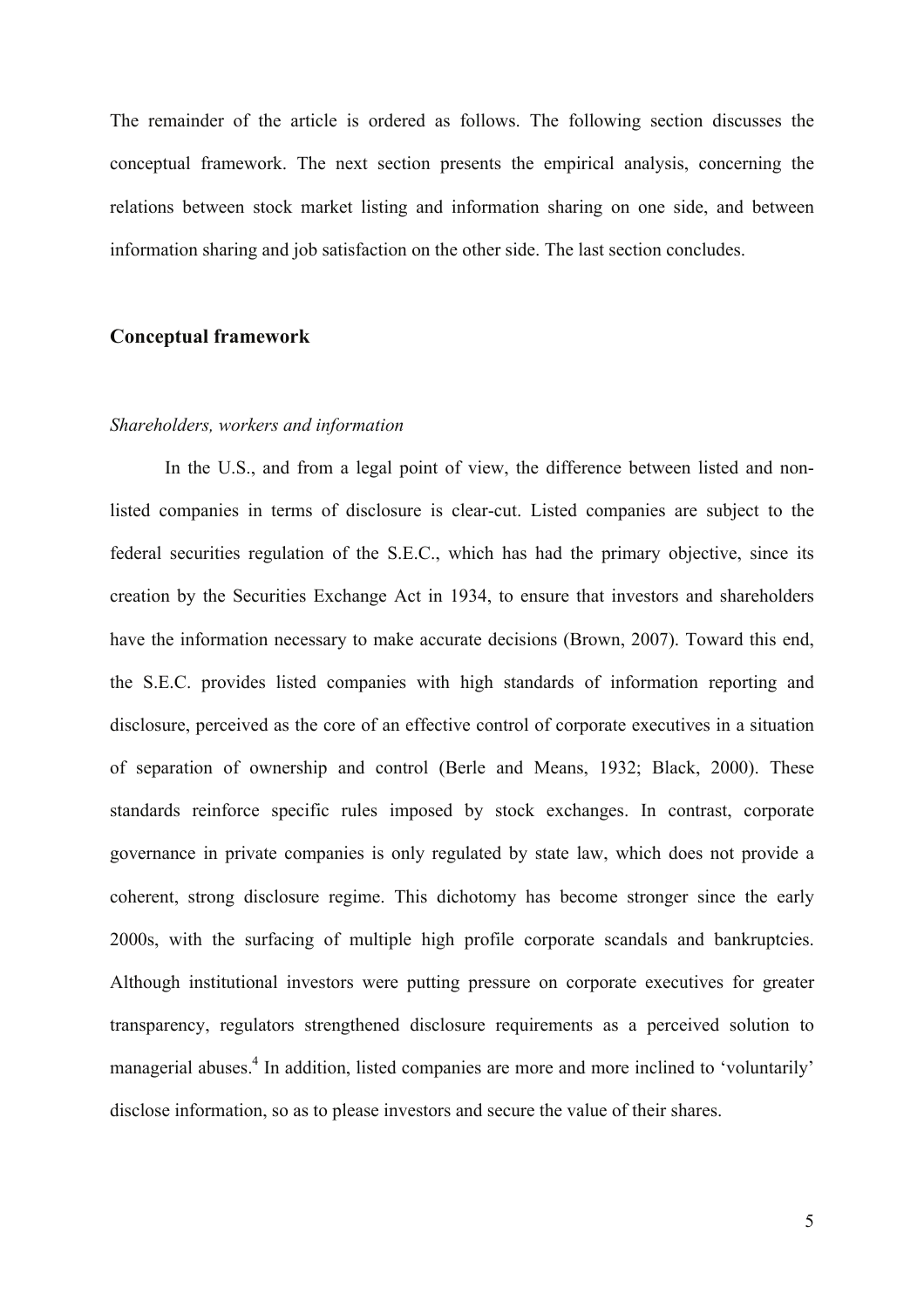The remainder of the article is ordered as follows. The following section discusses the conceptual framework. The next section presents the empirical analysis, concerning the relations between stock market listing and information sharing on one side, and between information sharing and job satisfaction on the other side. The last section concludes.

#### **Conceptual framework**

#### *Shareholders, workers and information*

In the U.S., and from a legal point of view, the difference between listed and nonlisted companies in terms of disclosure is clear-cut. Listed companies are subject to the federal securities regulation of the S.E.C., which has had the primary objective, since its creation by the Securities Exchange Act in 1934, to ensure that investors and shareholders have the information necessary to make accurate decisions (Brown, 2007). Toward this end, the S.E.C. provides listed companies with high standards of information reporting and disclosure, perceived as the core of an effective control of corporate executives in a situation of separation of ownership and control (Berle and Means, 1932; Black, 2000). These standards reinforce specific rules imposed by stock exchanges. In contrast, corporate governance in private companies is only regulated by state law, which does not provide a coherent, strong disclosure regime. This dichotomy has become stronger since the early 2000s, with the surfacing of multiple high profile corporate scandals and bankruptcies. Although institutional investors were putting pressure on corporate executives for greater transparency, regulators strengthened disclosure requirements as a perceived solution to managerial abuses.<sup>4</sup> In addition, listed companies are more and more inclined to 'voluntarily' disclose information, so as to please investors and secure the value of their shares.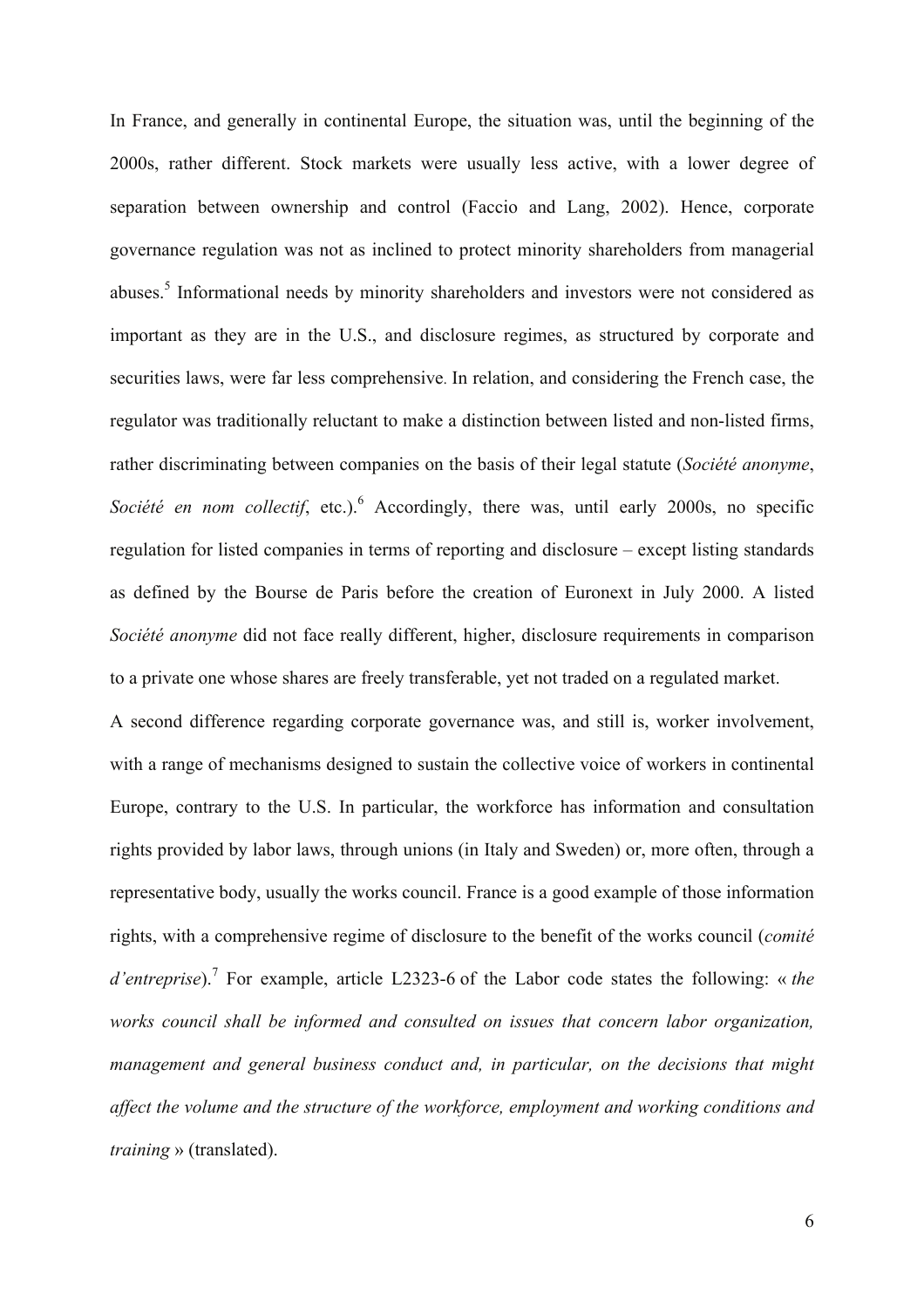In France, and generally in continental Europe, the situation was, until the beginning of the 2000s, rather different. Stock markets were usually less active, with a lower degree of separation between ownership and control (Faccio and Lang, 2002). Hence, corporate governance regulation was not as inclined to protect minority shareholders from managerial abuses.<sup>5</sup> Informational needs by minority shareholders and investors were not considered as important as they are in the U.S., and disclosure regimes, as structured by corporate and securities laws, were far less comprehensive. In relation, and considering the French case, the regulator was traditionally reluctant to make a distinction between listed and non-listed firms, rather discriminating between companies on the basis of their legal statute (*Société anonyme*, *Société en nom collectif*, etc.).<sup>6</sup> Accordingly, there was, until early 2000s, no specific regulation for listed companies in terms of reporting and disclosure – except listing standards as defined by the Bourse de Paris before the creation of Euronext in July 2000. A listed *Société anonyme* did not face really different, higher, disclosure requirements in comparison to a private one whose shares are freely transferable, yet not traded on a regulated market.

A second difference regarding corporate governance was, and still is, worker involvement, with a range of mechanisms designed to sustain the collective voice of workers in continental Europe, contrary to the U.S. In particular, the workforce has information and consultation rights provided by labor laws, through unions (in Italy and Sweden) or, more often, through a representative body, usually the works council. France is a good example of those information rights, with a comprehensive regime of disclosure to the benefit of the works council (*comité d'entreprise*).<sup>7</sup> For example, article L2323-6 of the Labor code states the following: « *the works council shall be informed and consulted on issues that concern labor organization, management and general business conduct and, in particular, on the decisions that might affect the volume and the structure of the workforce, employment and working conditions and training* » (translated).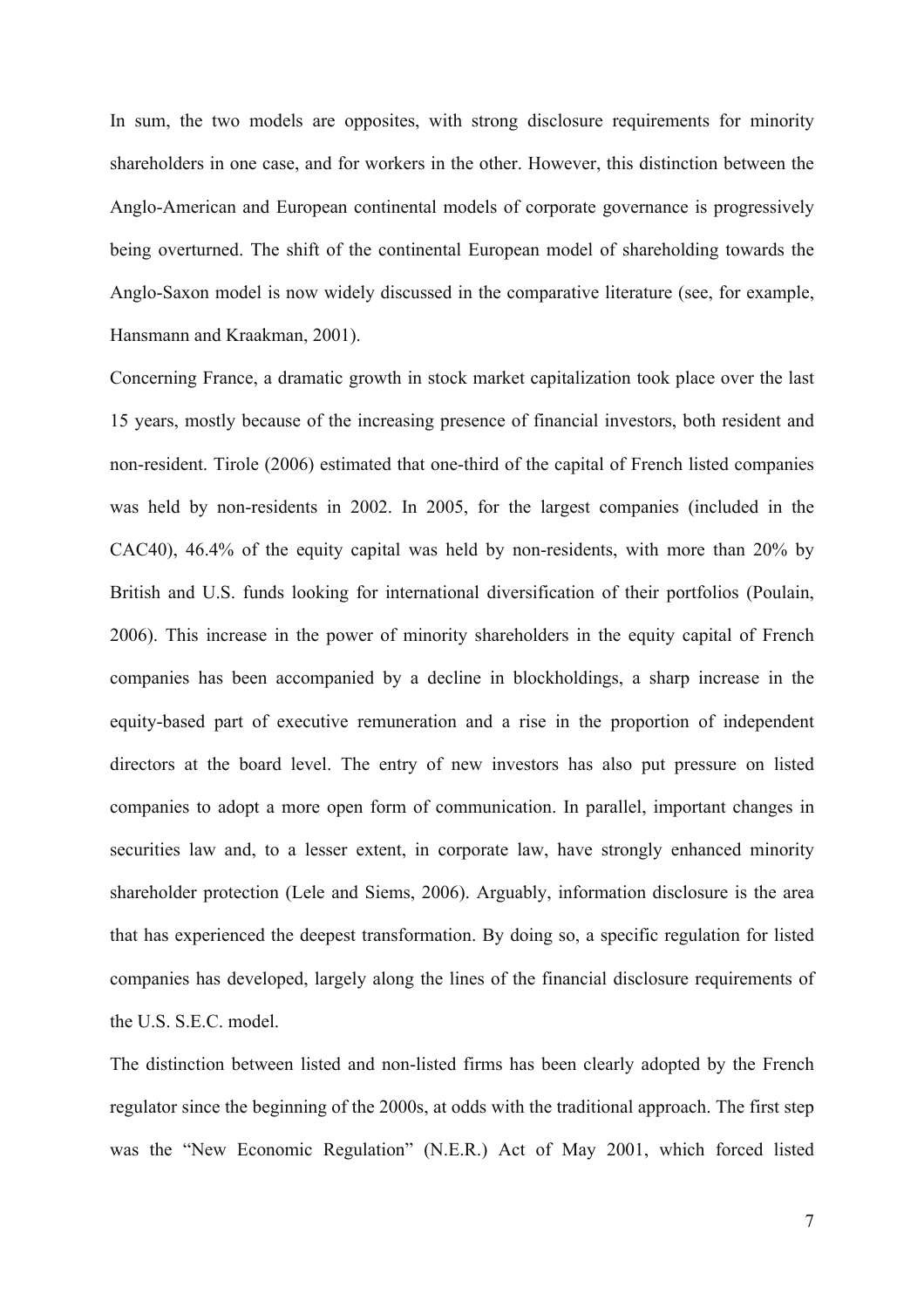In sum, the two models are opposites, with strong disclosure requirements for minority shareholders in one case, and for workers in the other. However, this distinction between the Anglo-American and European continental models of corporate governance is progressively being overturned. The shift of the continental European model of shareholding towards the Anglo-Saxon model is now widely discussed in the comparative literature (see, for example, Hansmann and Kraakman, 2001).

Concerning France, a dramatic growth in stock market capitalization took place over the last 15 years, mostly because of the increasing presence of financial investors, both resident and non-resident. Tirole (2006) estimated that one-third of the capital of French listed companies was held by non-residents in 2002. In 2005, for the largest companies (included in the CAC40), 46.4% of the equity capital was held by non-residents, with more than 20% by British and U.S. funds looking for international diversification of their portfolios (Poulain, 2006). This increase in the power of minority shareholders in the equity capital of French companies has been accompanied by a decline in blockholdings, a sharp increase in the equity-based part of executive remuneration and a rise in the proportion of independent directors at the board level. The entry of new investors has also put pressure on listed companies to adopt a more open form of communication. In parallel, important changes in securities law and, to a lesser extent, in corporate law, have strongly enhanced minority shareholder protection (Lele and Siems, 2006). Arguably, information disclosure is the area that has experienced the deepest transformation. By doing so, a specific regulation for listed companies has developed, largely along the lines of the financial disclosure requirements of the U.S. S.E.C. model.

The distinction between listed and non-listed firms has been clearly adopted by the French regulator since the beginning of the 2000s, at odds with the traditional approach. The first step was the "New Economic Regulation" (N.E.R.) Act of May 2001, which forced listed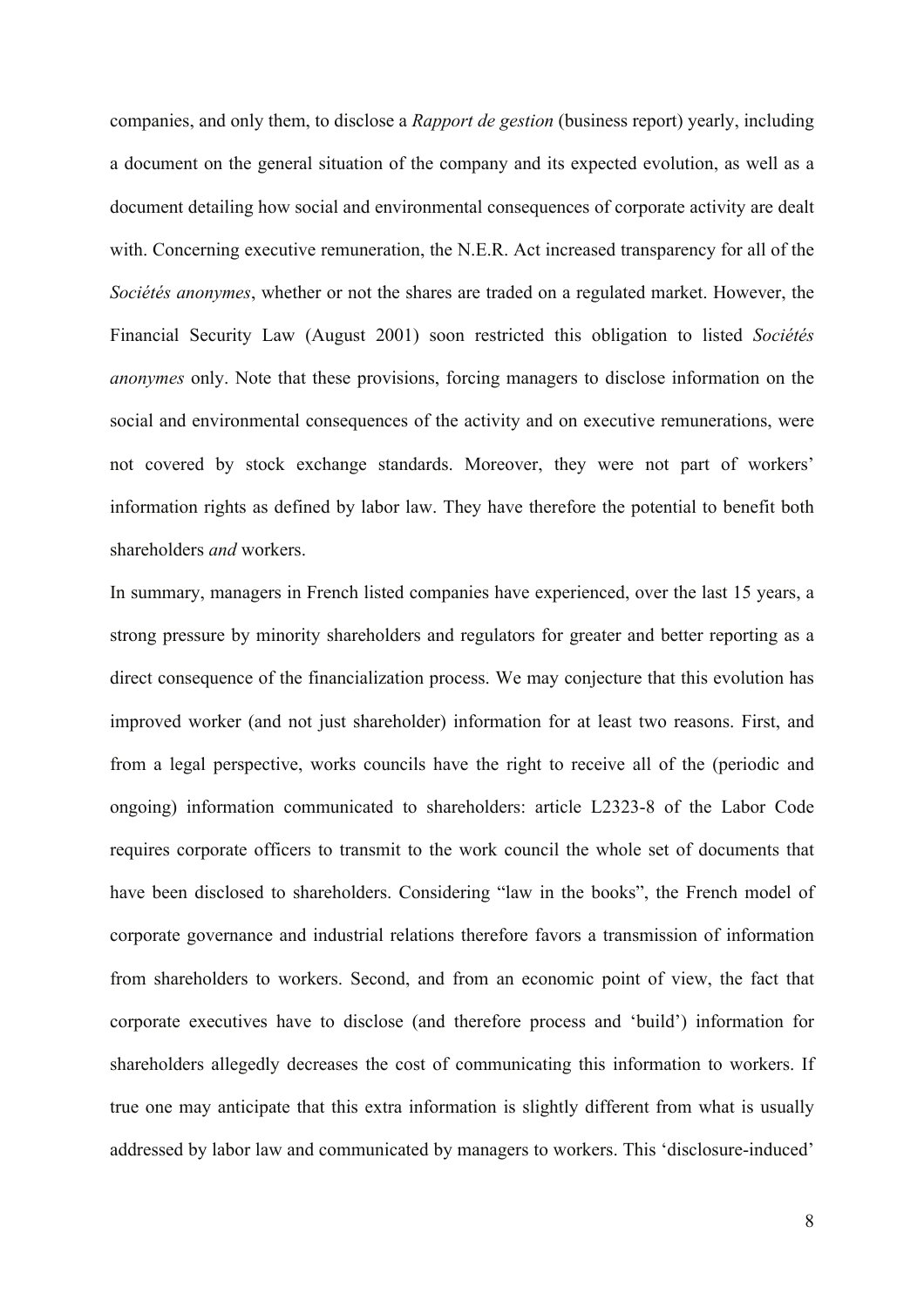companies, and only them, to disclose a *Rapport de gestion* (business report) yearly, including a document on the general situation of the company and its expected evolution, as well as a document detailing how social and environmental consequences of corporate activity are dealt with. Concerning executive remuneration, the N.E.R. Act increased transparency for all of the *Sociétés anonymes*, whether or not the shares are traded on a regulated market. However, the Financial Security Law (August 2001) soon restricted this obligation to listed *Sociétés anonymes* only. Note that these provisions, forcing managers to disclose information on the social and environmental consequences of the activity and on executive remunerations, were not covered by stock exchange standards. Moreover, they were not part of workers' information rights as defined by labor law. They have therefore the potential to benefit both shareholders *and* workers.

In summary, managers in French listed companies have experienced, over the last 15 years, a strong pressure by minority shareholders and regulators for greater and better reporting as a direct consequence of the financialization process. We may conjecture that this evolution has improved worker (and not just shareholder) information for at least two reasons. First, and from a legal perspective, works councils have the right to receive all of the (periodic and ongoing) information communicated to shareholders: article L2323-8 of the Labor Code requires corporate officers to transmit to the work council the whole set of documents that have been disclosed to shareholders. Considering "law in the books", the French model of corporate governance and industrial relations therefore favors a transmission of information from shareholders to workers. Second, and from an economic point of view, the fact that corporate executives have to disclose (and therefore process and 'build') information for shareholders allegedly decreases the cost of communicating this information to workers. If true one may anticipate that this extra information is slightly different from what is usually addressed by labor law and communicated by managers to workers. This 'disclosure-induced'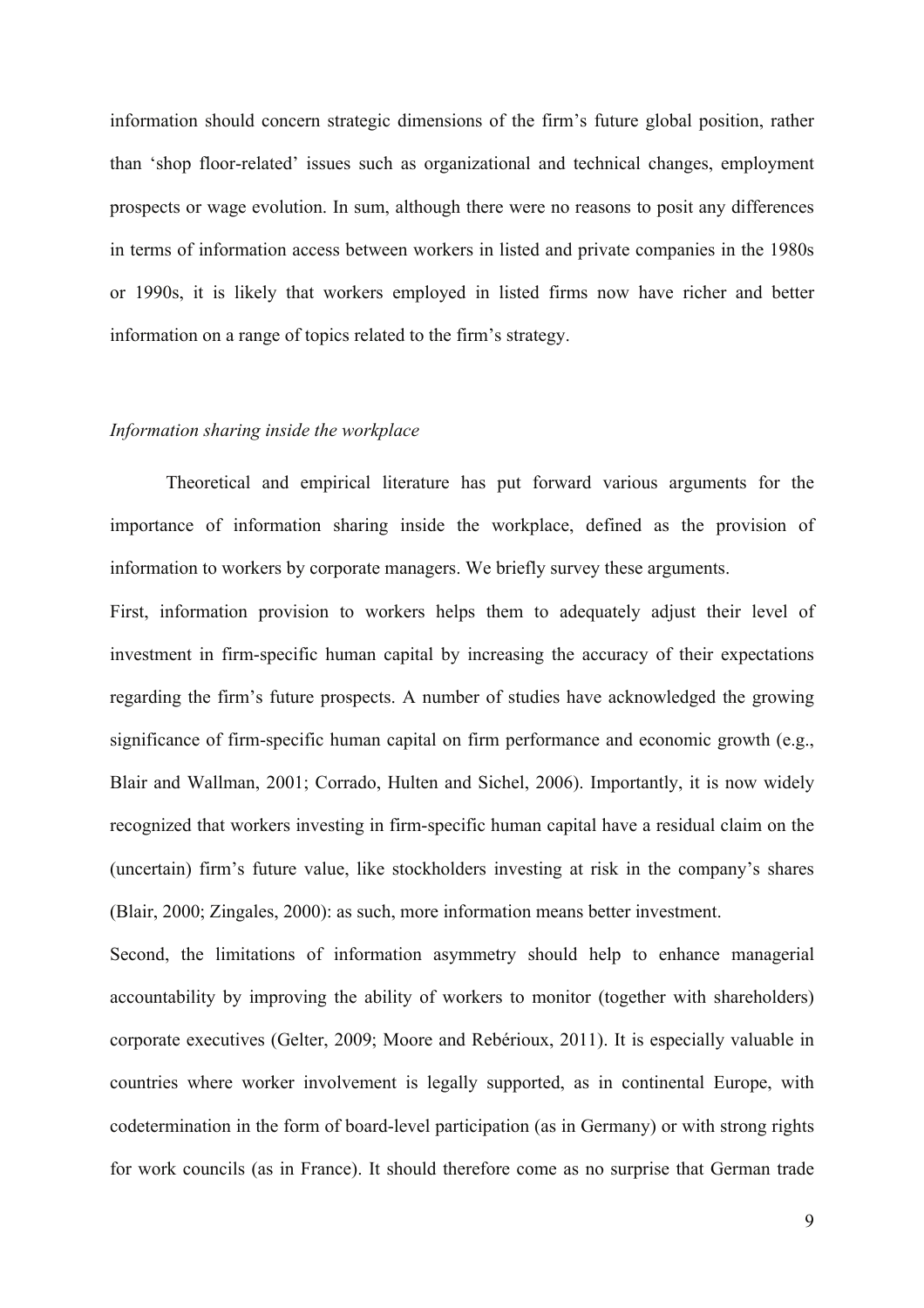information should concern strategic dimensions of the firm's future global position, rather than 'shop floor-related' issues such as organizational and technical changes, employment prospects or wage evolution. In sum, although there were no reasons to posit any differences in terms of information access between workers in listed and private companies in the 1980s or 1990s, it is likely that workers employed in listed firms now have richer and better information on a range of topics related to the firm's strategy.

#### *Information sharing inside the workplace*

Theoretical and empirical literature has put forward various arguments for the importance of information sharing inside the workplace, defined as the provision of information to workers by corporate managers. We briefly survey these arguments.

First, information provision to workers helps them to adequately adjust their level of investment in firm-specific human capital by increasing the accuracy of their expectations regarding the firm's future prospects. A number of studies have acknowledged the growing significance of firm-specific human capital on firm performance and economic growth (e.g., Blair and Wallman, 2001; Corrado, Hulten and Sichel, 2006). Importantly, it is now widely recognized that workers investing in firm-specific human capital have a residual claim on the (uncertain) firm's future value, like stockholders investing at risk in the company's shares (Blair, 2000; Zingales, 2000): as such, more information means better investment.

Second, the limitations of information asymmetry should help to enhance managerial accountability by improving the ability of workers to monitor (together with shareholders) corporate executives (Gelter, 2009; Moore and Rebérioux, 2011). It is especially valuable in countries where worker involvement is legally supported, as in continental Europe, with codetermination in the form of board-level participation (as in Germany) or with strong rights for work councils (as in France). It should therefore come as no surprise that German trade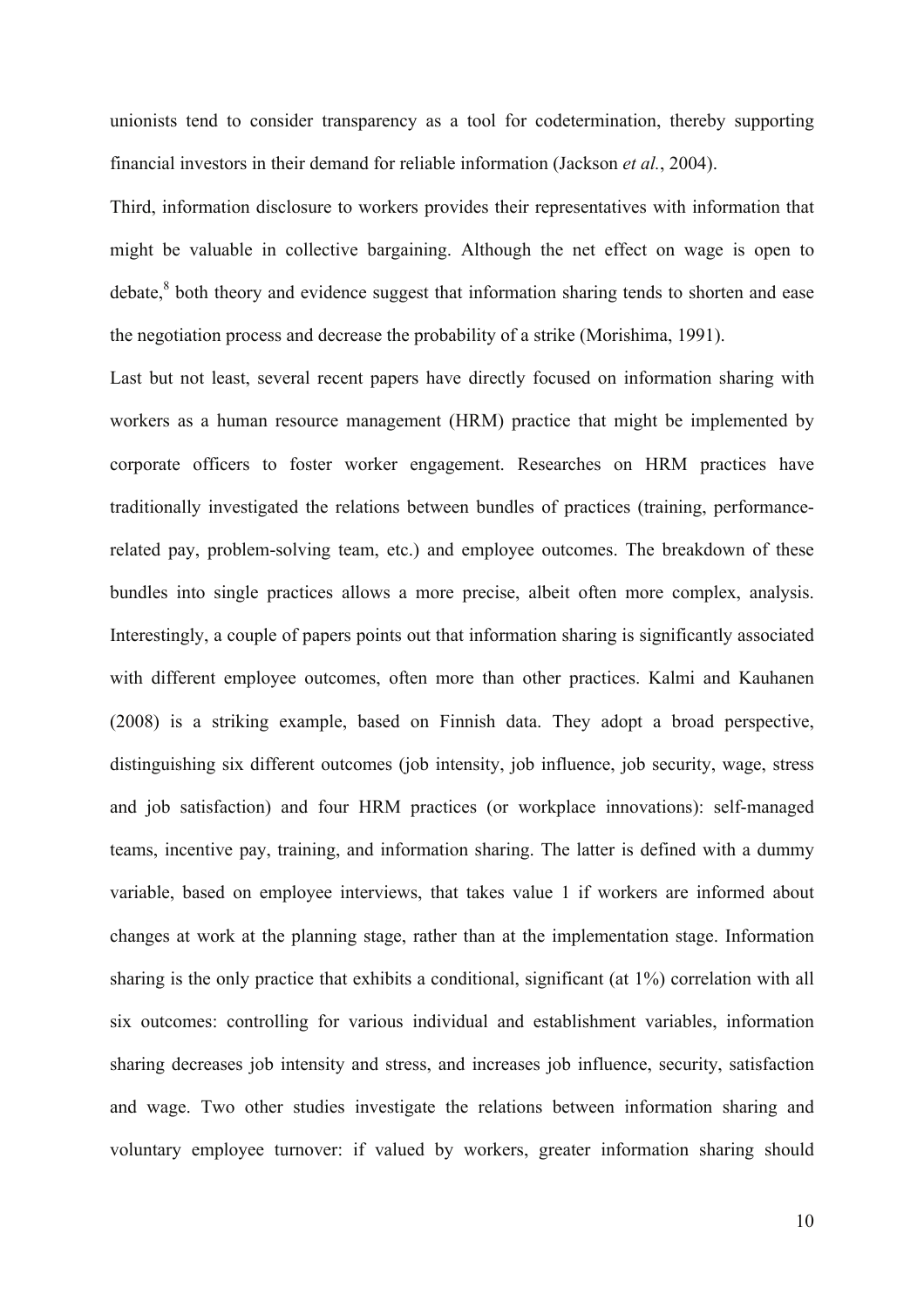unionists tend to consider transparency as a tool for codetermination, thereby supporting financial investors in their demand for reliable information (Jackson *et al.*, 2004).

Third, information disclosure to workers provides their representatives with information that might be valuable in collective bargaining. Although the net effect on wage is open to debate.<sup>8</sup> both theory and evidence suggest that information sharing tends to shorten and ease the negotiation process and decrease the probability of a strike (Morishima, 1991).

Last but not least, several recent papers have directly focused on information sharing with workers as a human resource management (HRM) practice that might be implemented by corporate officers to foster worker engagement. Researches on HRM practices have traditionally investigated the relations between bundles of practices (training, performancerelated pay, problem-solving team, etc.) and employee outcomes. The breakdown of these bundles into single practices allows a more precise, albeit often more complex, analysis. Interestingly, a couple of papers points out that information sharing is significantly associated with different employee outcomes, often more than other practices. Kalmi and Kauhanen (2008) is a striking example, based on Finnish data. They adopt a broad perspective, distinguishing six different outcomes (job intensity, job influence, job security, wage, stress and job satisfaction) and four HRM practices (or workplace innovations): self-managed teams, incentive pay, training, and information sharing. The latter is defined with a dummy variable, based on employee interviews, that takes value 1 if workers are informed about changes at work at the planning stage, rather than at the implementation stage. Information sharing is the only practice that exhibits a conditional, significant (at 1%) correlation with all six outcomes: controlling for various individual and establishment variables, information sharing decreases job intensity and stress, and increases job influence, security, satisfaction and wage. Two other studies investigate the relations between information sharing and voluntary employee turnover: if valued by workers, greater information sharing should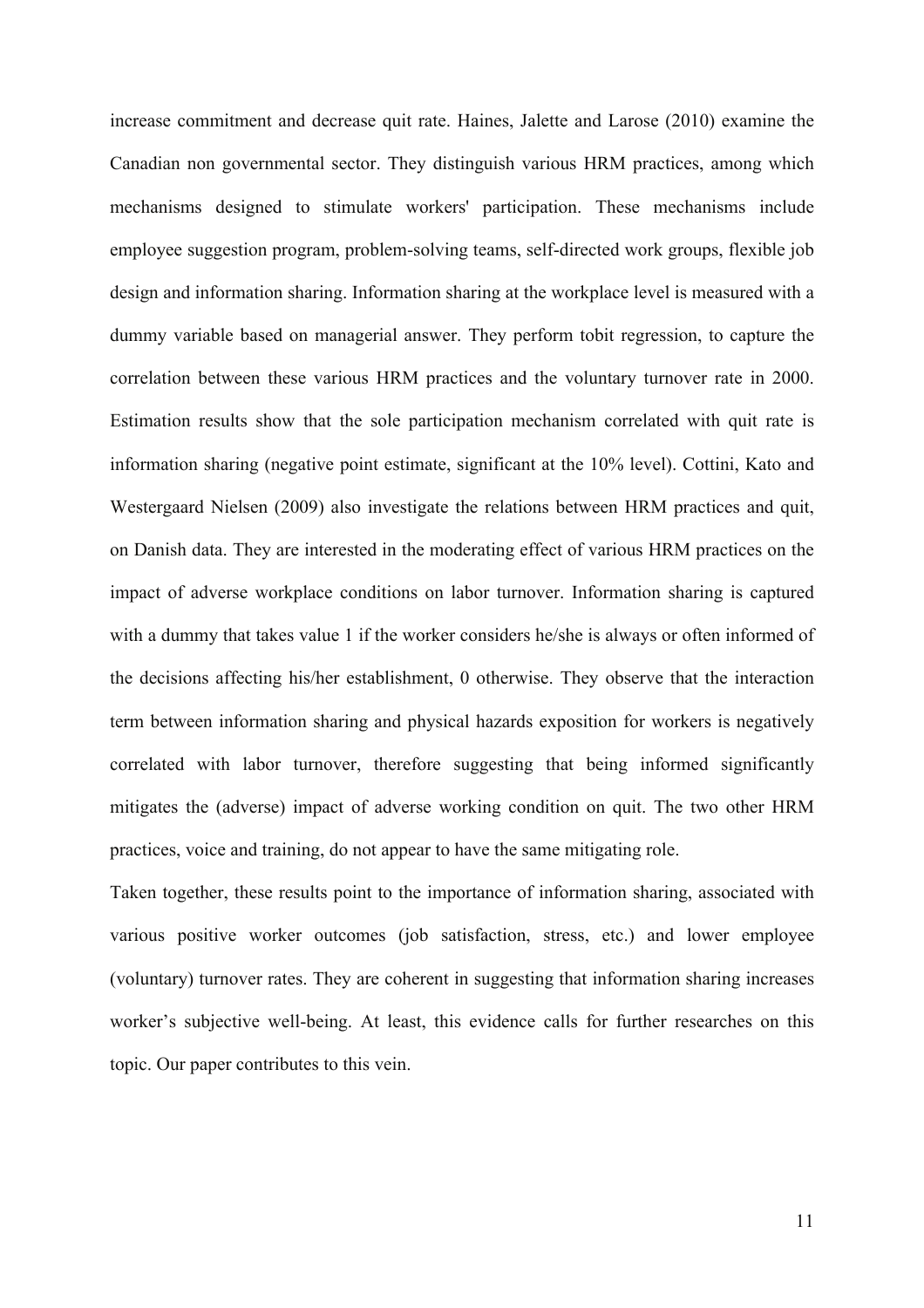increase commitment and decrease quit rate. Haines, Jalette and Larose (2010) examine the Canadian non governmental sector. They distinguish various HRM practices, among which mechanisms designed to stimulate workers' participation. These mechanisms include employee suggestion program, problem-solving teams, self-directed work groups, flexible job design and information sharing. Information sharing at the workplace level is measured with a dummy variable based on managerial answer. They perform tobit regression, to capture the correlation between these various HRM practices and the voluntary turnover rate in 2000. Estimation results show that the sole participation mechanism correlated with quit rate is information sharing (negative point estimate, significant at the 10% level). Cottini, Kato and Westergaard Nielsen (2009) also investigate the relations between HRM practices and quit, on Danish data. They are interested in the moderating effect of various HRM practices on the impact of adverse workplace conditions on labor turnover. Information sharing is captured with a dummy that takes value 1 if the worker considers he/she is always or often informed of the decisions affecting his/her establishment, 0 otherwise. They observe that the interaction term between information sharing and physical hazards exposition for workers is negatively correlated with labor turnover, therefore suggesting that being informed significantly mitigates the (adverse) impact of adverse working condition on quit. The two other HRM practices, voice and training, do not appear to have the same mitigating role.

Taken together, these results point to the importance of information sharing, associated with various positive worker outcomes (job satisfaction, stress, etc.) and lower employee (voluntary) turnover rates. They are coherent in suggesting that information sharing increases worker's subjective well-being. At least, this evidence calls for further researches on this topic. Our paper contributes to this vein.

11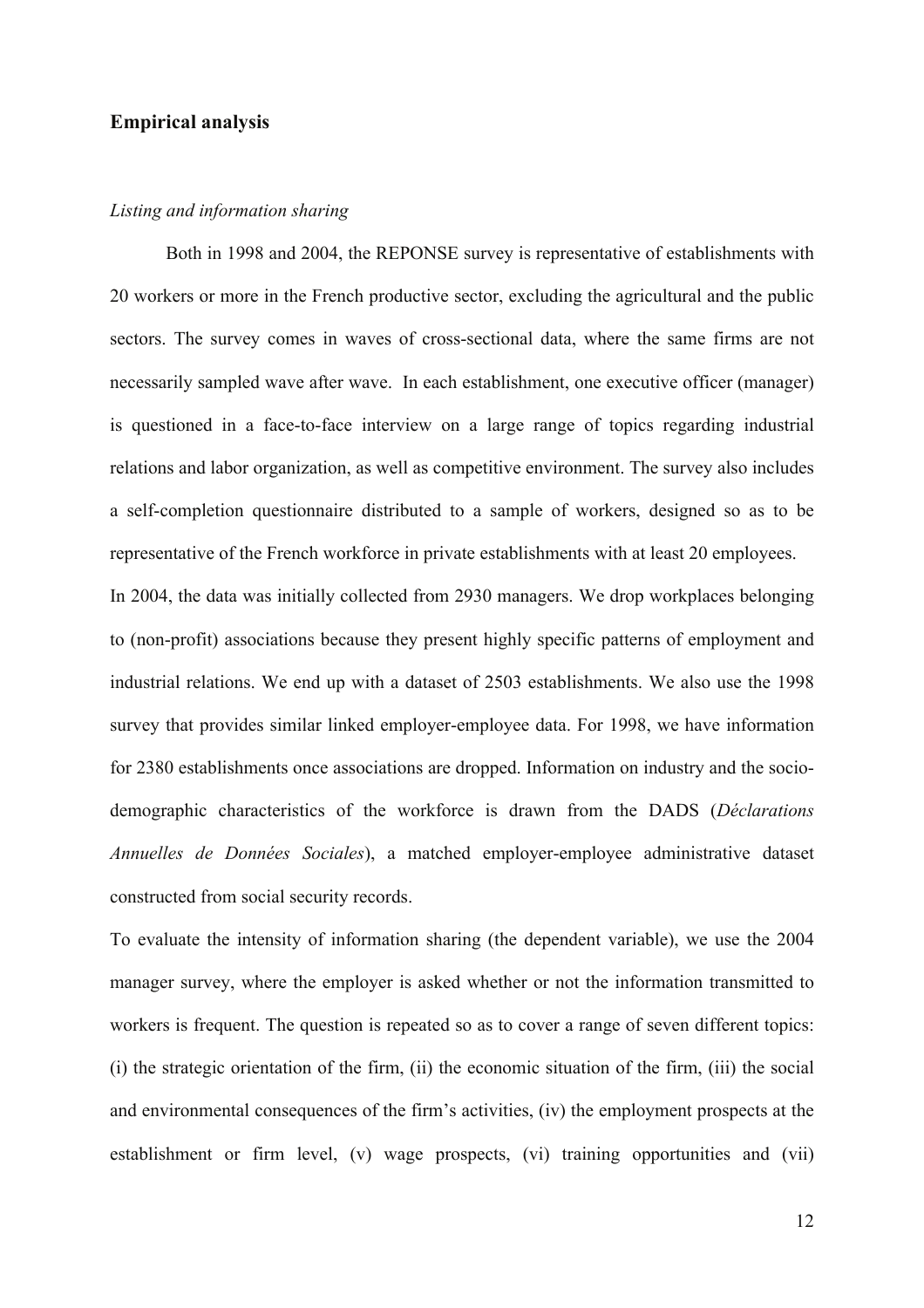#### **Empirical analysis**

#### *Listing and information sharing*

Both in 1998 and 2004, the REPONSE survey is representative of establishments with 20 workers or more in the French productive sector, excluding the agricultural and the public sectors. The survey comes in waves of cross-sectional data, where the same firms are not necessarily sampled wave after wave. In each establishment, one executive officer (manager) is questioned in a face-to-face interview on a large range of topics regarding industrial relations and labor organization, as well as competitive environment. The survey also includes a self-completion questionnaire distributed to a sample of workers, designed so as to be representative of the French workforce in private establishments with at least 20 employees.

In 2004, the data was initially collected from 2930 managers. We drop workplaces belonging to (non-profit) associations because they present highly specific patterns of employment and industrial relations. We end up with a dataset of 2503 establishments. We also use the 1998 survey that provides similar linked employer-employee data. For 1998, we have information for 2380 establishments once associations are dropped. Information on industry and the sociodemographic characteristics of the workforce is drawn from the DADS (*Déclarations Annuelles de Données Sociales*), a matched employer-employee administrative dataset constructed from social security records.

To evaluate the intensity of information sharing (the dependent variable), we use the 2004 manager survey, where the employer is asked whether or not the information transmitted to workers is frequent. The question is repeated so as to cover a range of seven different topics: (i) the strategic orientation of the firm, (ii) the economic situation of the firm, (iii) the social and environmental consequences of the firm's activities, (iv) the employment prospects at the establishment or firm level, (v) wage prospects, (vi) training opportunities and (vii)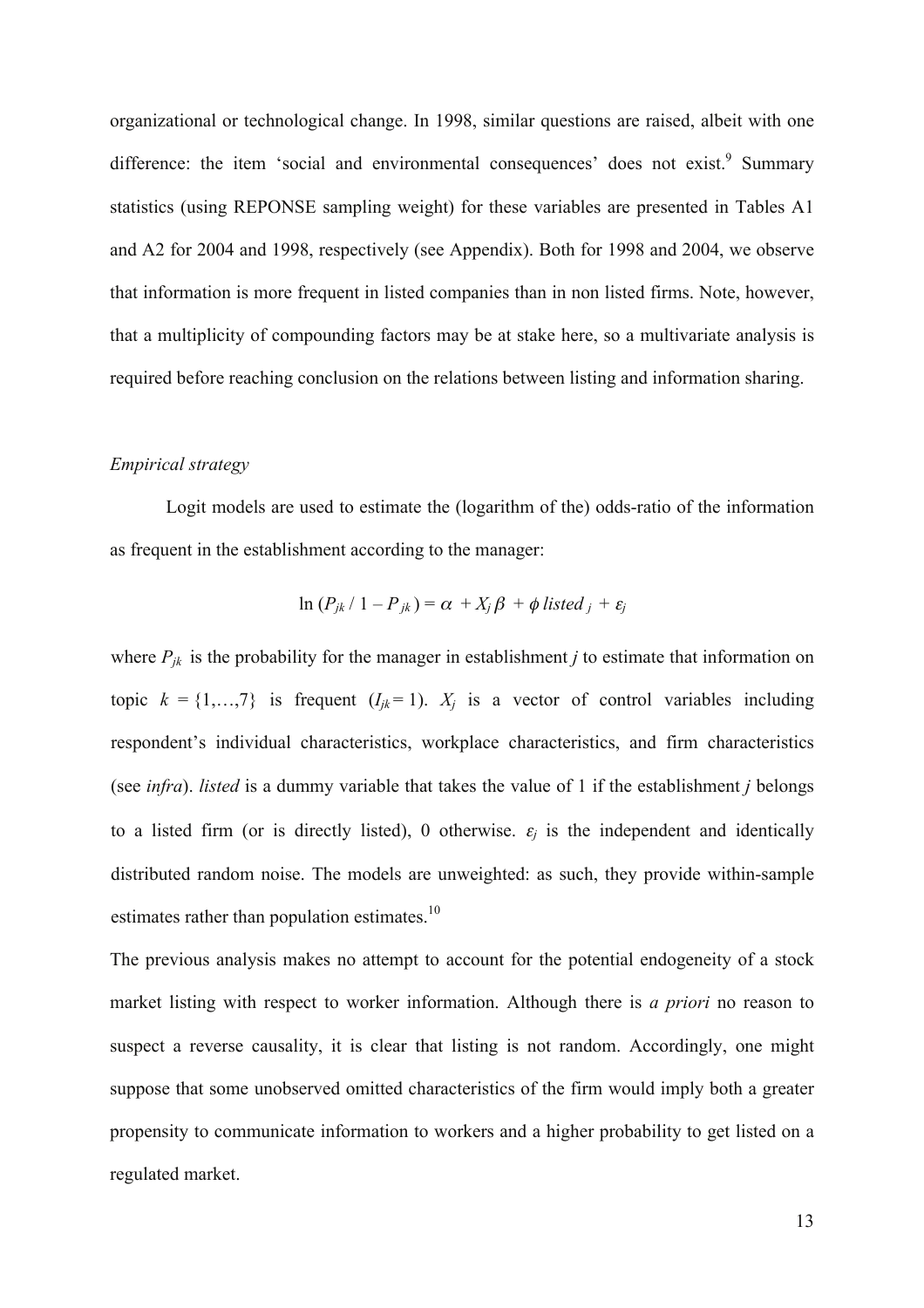organizational or technological change. In 1998, similar questions are raised, albeit with one difference: the item 'social and environmental consequences' does not exist.<sup>9</sup> Summary statistics (using REPONSE sampling weight) for these variables are presented in Tables A1 and A2 for 2004 and 1998, respectively (see Appendix). Both for 1998 and 2004, we observe that information is more frequent in listed companies than in non listed firms. Note, however, that a multiplicity of compounding factors may be at stake here, so a multivariate analysis is required before reaching conclusion on the relations between listing and information sharing.

#### *Empirical strategy*

Logit models are used to estimate the (logarithm of the) odds-ratio of the information as frequent in the establishment according to the manager:

$$
\ln (P_{jk} / 1 - P_{jk}) = \alpha + X_j \beta + \phi \text{ listed }_j + \varepsilon_j
$$

where  $P_{ik}$  is the probability for the manager in establishment *j* to estimate that information on topic  $k = \{1, \ldots, 7\}$  is frequent  $(I_{ik} = 1)$ .  $X_i$  is a vector of control variables including respondent's individual characteristics, workplace characteristics, and firm characteristics (see *infra*). *listed* is a dummy variable that takes the value of 1 if the establishment *j* belongs to a listed firm (or is directly listed), 0 otherwise.  $\varepsilon_i$  is the independent and identically distributed random noise. The models are unweighted: as such, they provide within-sample estimates rather than population estimates. $10$ 

The previous analysis makes no attempt to account for the potential endogeneity of a stock market listing with respect to worker information. Although there is *a priori* no reason to suspect a reverse causality, it is clear that listing is not random. Accordingly, one might suppose that some unobserved omitted characteristics of the firm would imply both a greater propensity to communicate information to workers and a higher probability to get listed on a regulated market.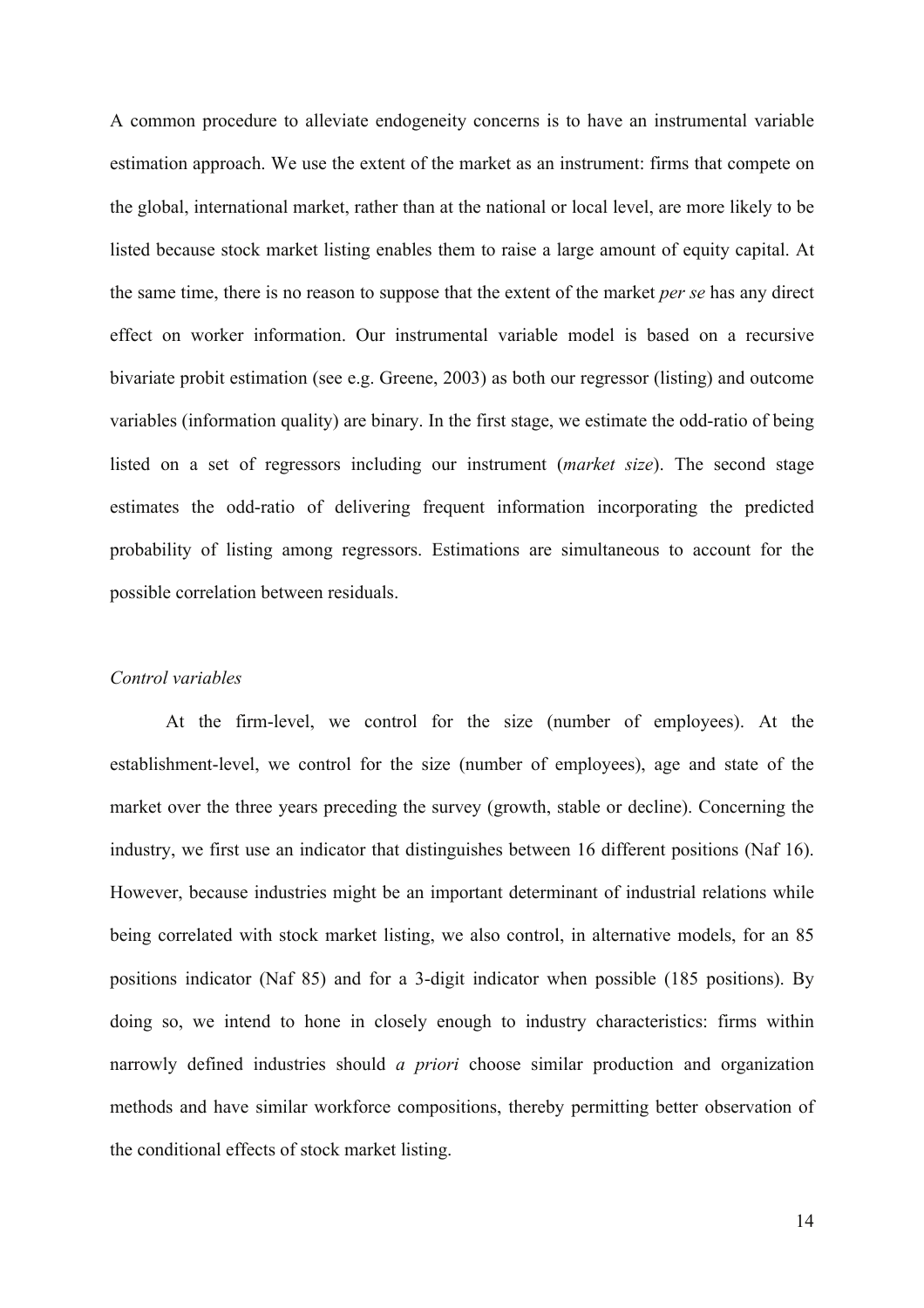A common procedure to alleviate endogeneity concerns is to have an instrumental variable estimation approach. We use the extent of the market as an instrument: firms that compete on the global, international market, rather than at the national or local level, are more likely to be listed because stock market listing enables them to raise a large amount of equity capital. At the same time, there is no reason to suppose that the extent of the market *per se* has any direct effect on worker information. Our instrumental variable model is based on a recursive bivariate probit estimation (see e.g. Greene, 2003) as both our regressor (listing) and outcome variables (information quality) are binary. In the first stage, we estimate the odd-ratio of being listed on a set of regressors including our instrument (*market size*). The second stage estimates the odd-ratio of delivering frequent information incorporating the predicted probability of listing among regressors. Estimations are simultaneous to account for the possible correlation between residuals.

#### *Control variables*

At the firm-level, we control for the size (number of employees). At the establishment-level, we control for the size (number of employees), age and state of the market over the three years preceding the survey (growth, stable or decline). Concerning the industry, we first use an indicator that distinguishes between 16 different positions (Naf 16). However, because industries might be an important determinant of industrial relations while being correlated with stock market listing, we also control, in alternative models, for an 85 positions indicator (Naf 85) and for a 3-digit indicator when possible (185 positions). By doing so, we intend to hone in closely enough to industry characteristics: firms within narrowly defined industries should *a priori* choose similar production and organization methods and have similar workforce compositions, thereby permitting better observation of the conditional effects of stock market listing.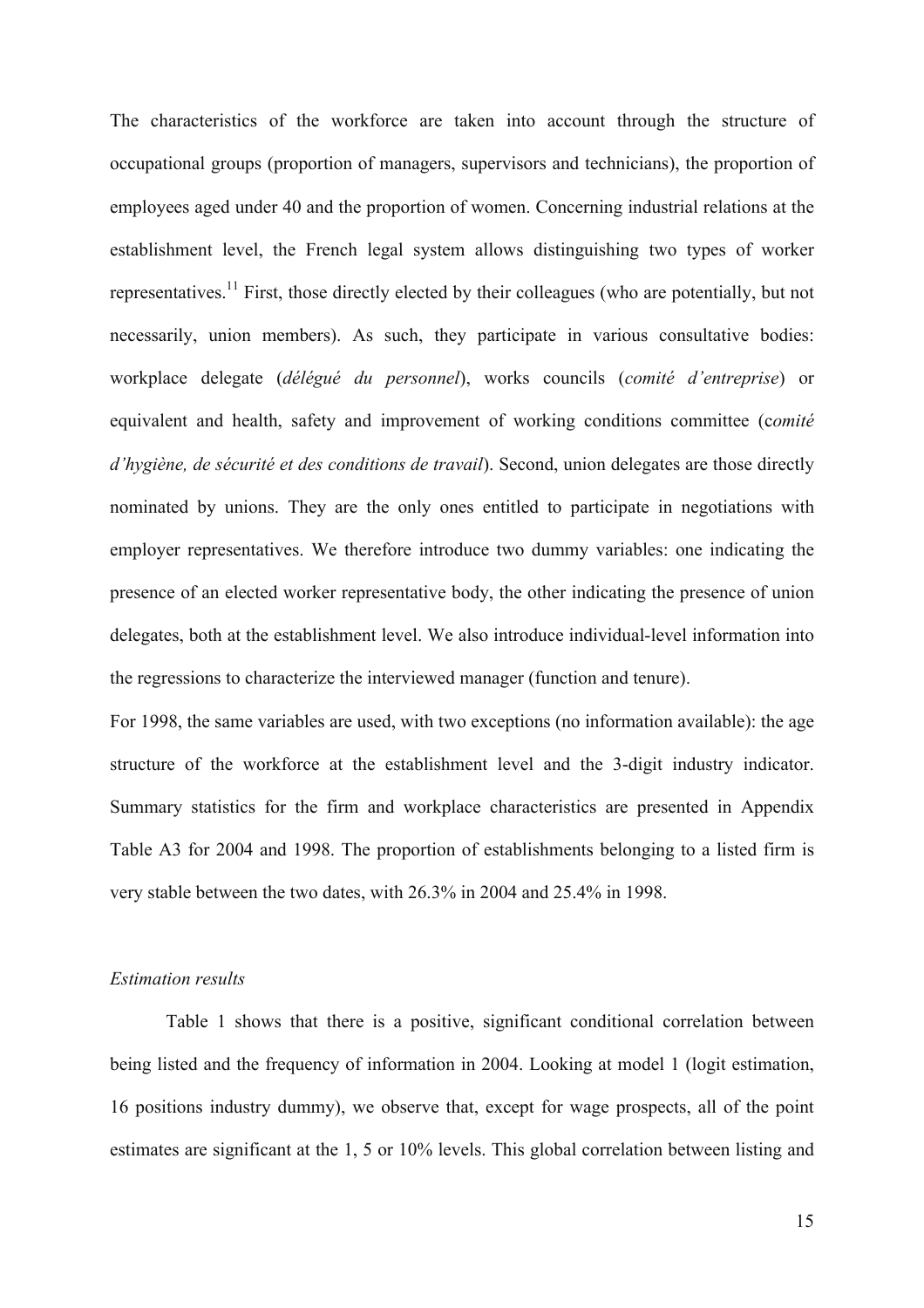The characteristics of the workforce are taken into account through the structure of occupational groups (proportion of managers, supervisors and technicians), the proportion of employees aged under 40 and the proportion of women. Concerning industrial relations at the establishment level, the French legal system allows distinguishing two types of worker representatives.<sup>11</sup> First, those directly elected by their colleagues (who are potentially, but not necessarily, union members). As such, they participate in various consultative bodies: workplace delegate (*délégué du personnel*), works councils (*comité d'entreprise*) or equivalent and health, safety and improvement of working conditions committee (c*omité d'hygiène, de sécurité et des conditions de travail*). Second, union delegates are those directly nominated by unions. They are the only ones entitled to participate in negotiations with employer representatives. We therefore introduce two dummy variables: one indicating the presence of an elected worker representative body, the other indicating the presence of union delegates, both at the establishment level. We also introduce individual-level information into the regressions to characterize the interviewed manager (function and tenure).

For 1998, the same variables are used, with two exceptions (no information available): the age structure of the workforce at the establishment level and the 3-digit industry indicator. Summary statistics for the firm and workplace characteristics are presented in Appendix Table A3 for 2004 and 1998. The proportion of establishments belonging to a listed firm is very stable between the two dates, with 26.3% in 2004 and 25.4% in 1998.

#### *Estimation results*

Table 1 shows that there is a positive, significant conditional correlation between being listed and the frequency of information in 2004. Looking at model 1 (logit estimation, 16 positions industry dummy), we observe that, except for wage prospects, all of the point estimates are significant at the 1, 5 or 10% levels. This global correlation between listing and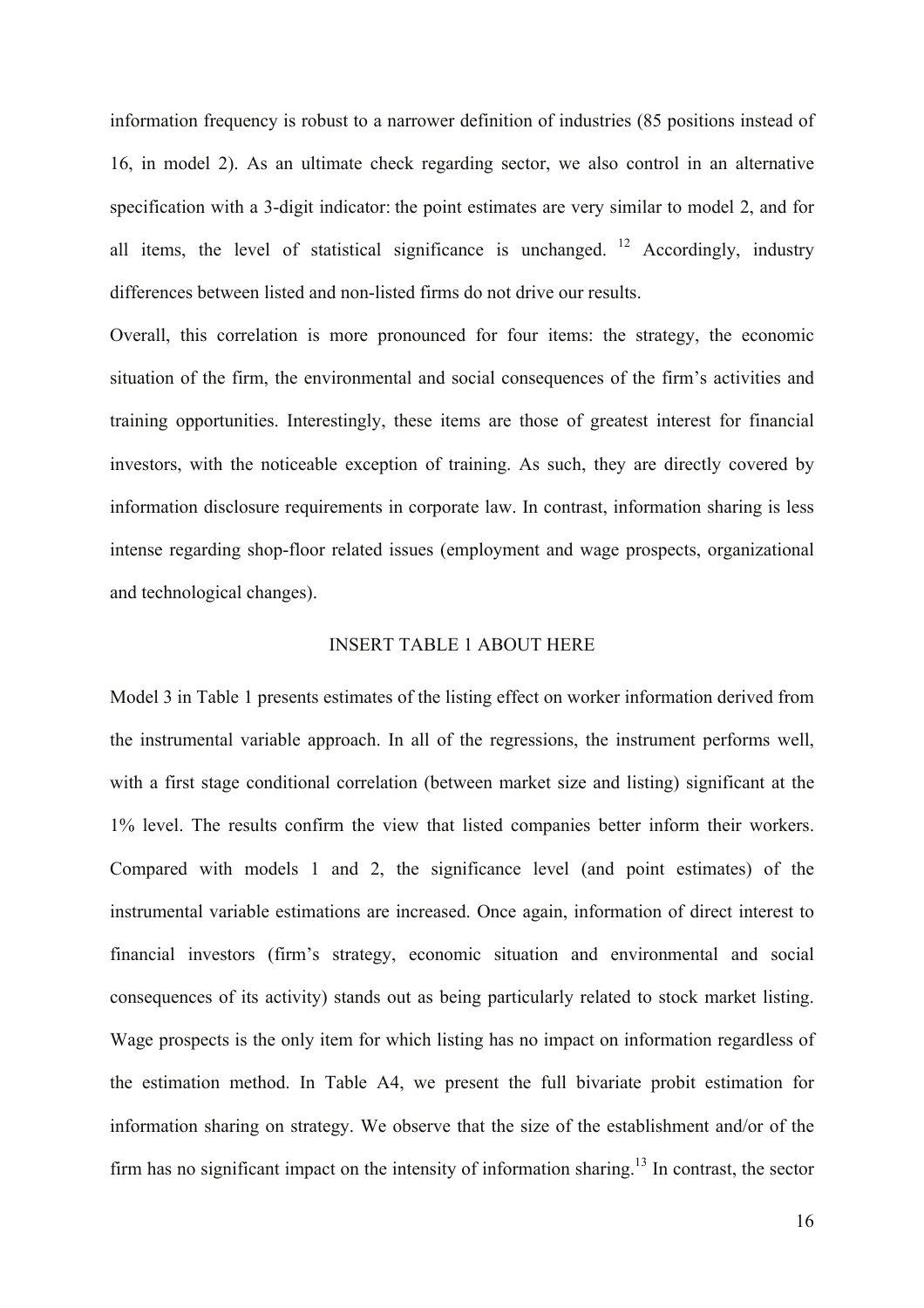information frequency is robust to a narrower definition of industries (85 positions instead of 16, in model 2). As an ultimate check regarding sector, we also control in an alternative specification with a 3-digit indicator: the point estimates are very similar to model 2, and for all items, the level of statistical significance is unchanged. <sup>12</sup> Accordingly, industry differences between listed and non-listed firms do not drive our results.

Overall, this correlation is more pronounced for four items: the strategy, the economic situation of the firm, the environmental and social consequences of the firm's activities and training opportunities. Interestingly, these items are those of greatest interest for financial investors, with the noticeable exception of training. As such, they are directly covered by information disclosure requirements in corporate law. In contrast, information sharing is less intense regarding shop-floor related issues (employment and wage prospects, organizational and technological changes).

#### INSERT TABLE 1 ABOUT HERE

Model 3 in Table 1 presents estimates of the listing effect on worker information derived from the instrumental variable approach. In all of the regressions, the instrument performs well, with a first stage conditional correlation (between market size and listing) significant at the 1% level. The results confirm the view that listed companies better inform their workers. Compared with models 1 and 2, the significance level (and point estimates) of the instrumental variable estimations are increased. Once again, information of direct interest to financial investors (firm's strategy, economic situation and environmental and social consequences of its activity) stands out as being particularly related to stock market listing. Wage prospects is the only item for which listing has no impact on information regardless of the estimation method. In Table A4, we present the full bivariate probit estimation for information sharing on strategy. We observe that the size of the establishment and/or of the firm has no significant impact on the intensity of information sharing.<sup>13</sup> In contrast, the sector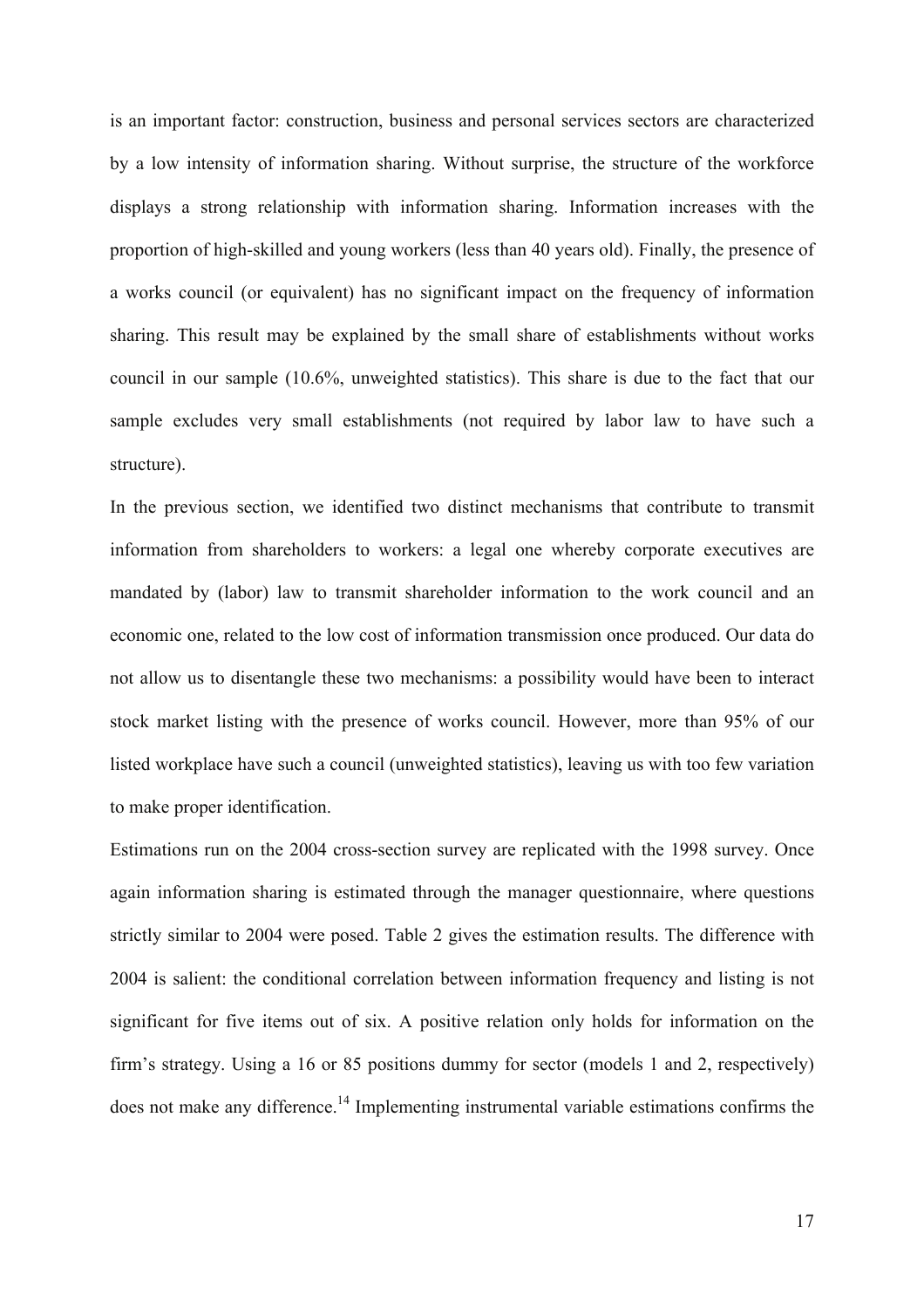is an important factor: construction, business and personal services sectors are characterized by a low intensity of information sharing. Without surprise, the structure of the workforce displays a strong relationship with information sharing. Information increases with the proportion of high-skilled and young workers (less than 40 years old). Finally, the presence of a works council (or equivalent) has no significant impact on the frequency of information sharing. This result may be explained by the small share of establishments without works council in our sample (10.6%, unweighted statistics). This share is due to the fact that our sample excludes very small establishments (not required by labor law to have such a structure).

In the previous section, we identified two distinct mechanisms that contribute to transmit information from shareholders to workers: a legal one whereby corporate executives are mandated by (labor) law to transmit shareholder information to the work council and an economic one, related to the low cost of information transmission once produced. Our data do not allow us to disentangle these two mechanisms: a possibility would have been to interact stock market listing with the presence of works council. However, more than 95% of our listed workplace have such a council (unweighted statistics), leaving us with too few variation to make proper identification.

Estimations run on the 2004 cross-section survey are replicated with the 1998 survey. Once again information sharing is estimated through the manager questionnaire, where questions strictly similar to 2004 were posed. Table 2 gives the estimation results. The difference with 2004 is salient: the conditional correlation between information frequency and listing is not significant for five items out of six. A positive relation only holds for information on the firm's strategy. Using a 16 or 85 positions dummy for sector (models 1 and 2, respectively) does not make any difference.<sup>14</sup> Implementing instrumental variable estimations confirms the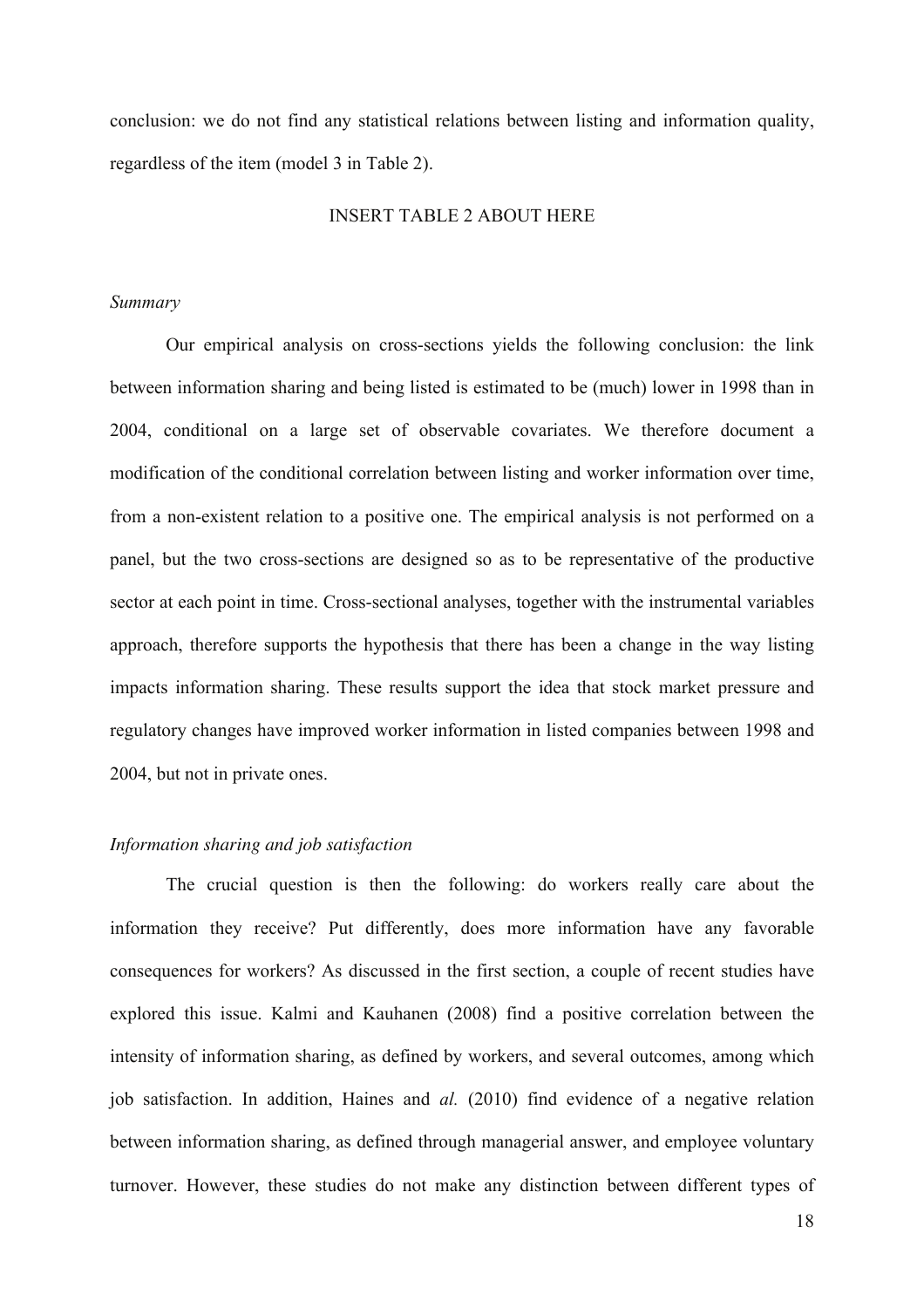conclusion: we do not find any statistical relations between listing and information quality, regardless of the item (model 3 in Table 2).

#### INSERT TABLE 2 ABOUT HERE

#### *Summary*

Our empirical analysis on cross-sections yields the following conclusion: the link between information sharing and being listed is estimated to be (much) lower in 1998 than in 2004, conditional on a large set of observable covariates. We therefore document a modification of the conditional correlation between listing and worker information over time, from a non-existent relation to a positive one. The empirical analysis is not performed on a panel, but the two cross-sections are designed so as to be representative of the productive sector at each point in time. Cross-sectional analyses, together with the instrumental variables approach, therefore supports the hypothesis that there has been a change in the way listing impacts information sharing. These results support the idea that stock market pressure and regulatory changes have improved worker information in listed companies between 1998 and 2004, but not in private ones.

#### *Information sharing and job satisfaction*

The crucial question is then the following: do workers really care about the information they receive? Put differently, does more information have any favorable consequences for workers? As discussed in the first section, a couple of recent studies have explored this issue. Kalmi and Kauhanen (2008) find a positive correlation between the intensity of information sharing, as defined by workers, and several outcomes, among which job satisfaction. In addition, Haines and *al.* (2010) find evidence of a negative relation between information sharing, as defined through managerial answer, and employee voluntary turnover. However, these studies do not make any distinction between different types of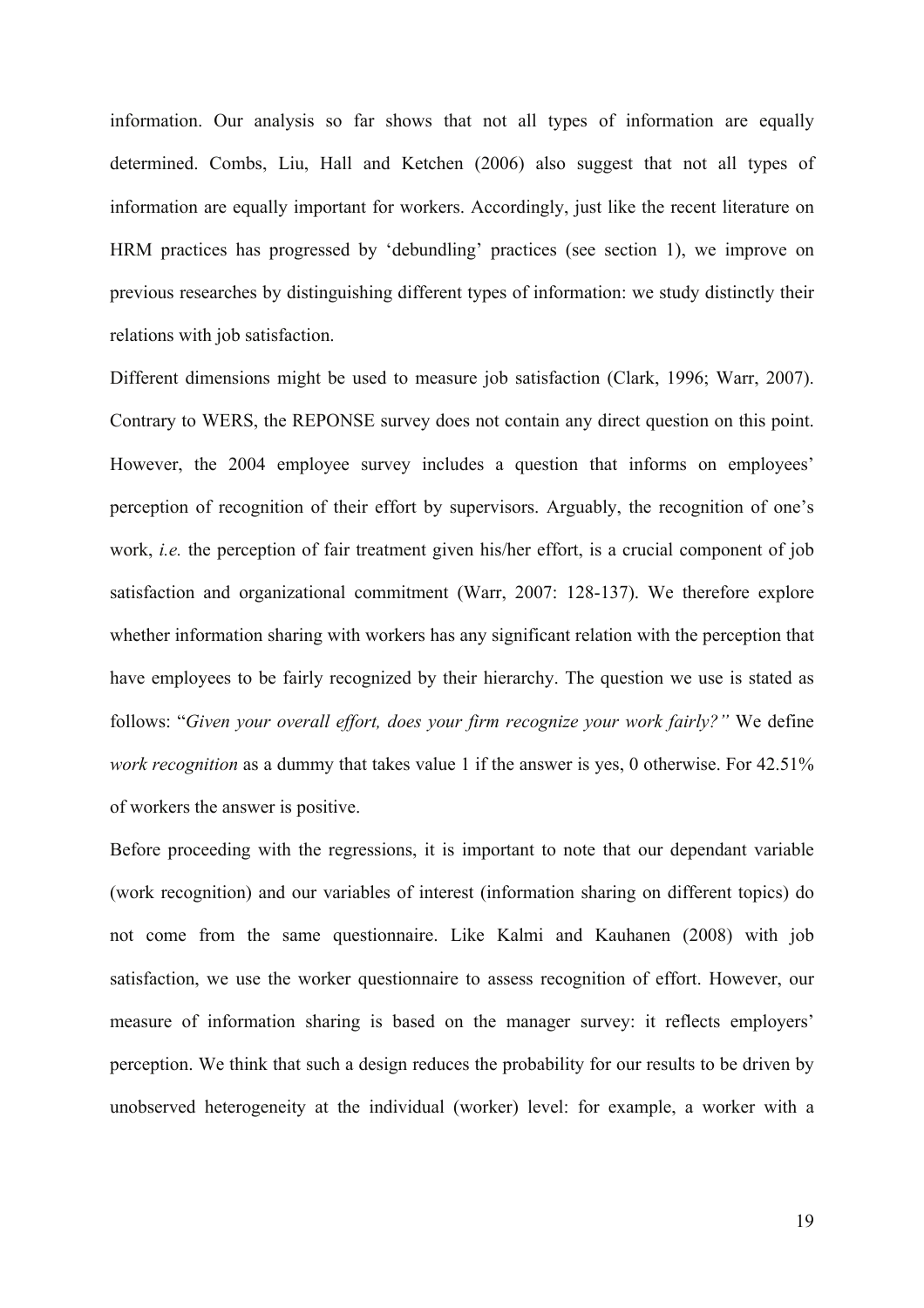information. Our analysis so far shows that not all types of information are equally determined. Combs, Liu, Hall and Ketchen (2006) also suggest that not all types of information are equally important for workers. Accordingly, just like the recent literature on HRM practices has progressed by 'debundling' practices (see section 1), we improve on previous researches by distinguishing different types of information: we study distinctly their relations with job satisfaction.

Different dimensions might be used to measure job satisfaction (Clark, 1996; Warr, 2007). Contrary to WERS, the REPONSE survey does not contain any direct question on this point. However, the 2004 employee survey includes a question that informs on employees' perception of recognition of their effort by supervisors. Arguably, the recognition of one's work, *i.e.* the perception of fair treatment given his/her effort, is a crucial component of job satisfaction and organizational commitment (Warr, 2007: 128-137). We therefore explore whether information sharing with workers has any significant relation with the perception that have employees to be fairly recognized by their hierarchy. The question we use is stated as follows: "*Given your overall effort, does your firm recognize your work fairly?"* We define *work recognition* as a dummy that takes value 1 if the answer is yes, 0 otherwise. For 42.51% of workers the answer is positive.

Before proceeding with the regressions, it is important to note that our dependant variable (work recognition) and our variables of interest (information sharing on different topics) do not come from the same questionnaire. Like Kalmi and Kauhanen (2008) with job satisfaction, we use the worker questionnaire to assess recognition of effort. However, our measure of information sharing is based on the manager survey: it reflects employers' perception. We think that such a design reduces the probability for our results to be driven by unobserved heterogeneity at the individual (worker) level: for example, a worker with a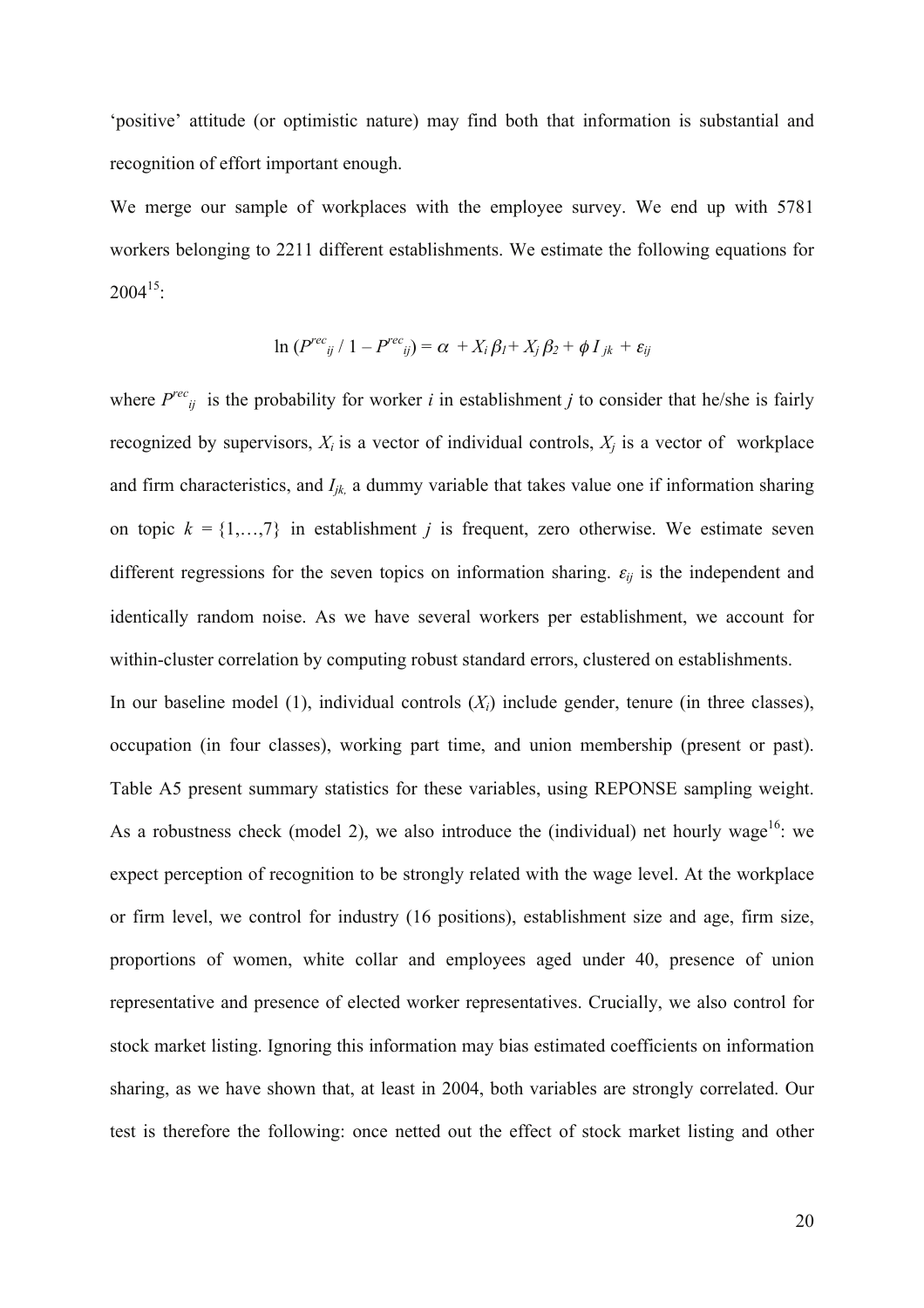'positive' attitude (or optimistic nature) may find both that information is substantial and recognition of effort important enough.

We merge our sample of workplaces with the employee survey. We end up with 5781 workers belonging to 2211 different establishments. We estimate the following equations for  $2004^{15}$ 

$$
\ln (P^{rec}_{ij} / 1 - P^{rec}_{ij}) = \alpha + X_i \beta_l + X_j \beta_2 + \phi I_{jk} + \varepsilon_{ij}
$$

where  $P^{rec}_{ij}$  is the probability for worker *i* in establishment *j* to consider that he/she is fairly recognized by supervisors,  $X_i$  is a vector of individual controls,  $X_i$  is a vector of workplace and firm characteristics, and  $I_{ik}$ , a dummy variable that takes value one if information sharing on topic  $k = \{1, \ldots, 7\}$  in establishment *j* is frequent, zero otherwise. We estimate seven different regressions for the seven topics on information sharing.  $\varepsilon_{ij}$  is the independent and identically random noise. As we have several workers per establishment, we account for within-cluster correlation by computing robust standard errors, clustered on establishments.

In our baseline model (1), individual controls (*Xi*) include gender, tenure (in three classes), occupation (in four classes), working part time, and union membership (present or past). Table A5 present summary statistics for these variables, using REPONSE sampling weight. As a robustness check (model 2), we also introduce the (individual) net hourly wage<sup>16</sup>: we expect perception of recognition to be strongly related with the wage level. At the workplace or firm level, we control for industry (16 positions), establishment size and age, firm size, proportions of women, white collar and employees aged under 40, presence of union representative and presence of elected worker representatives. Crucially, we also control for stock market listing. Ignoring this information may bias estimated coefficients on information sharing, as we have shown that, at least in 2004, both variables are strongly correlated. Our test is therefore the following: once netted out the effect of stock market listing and other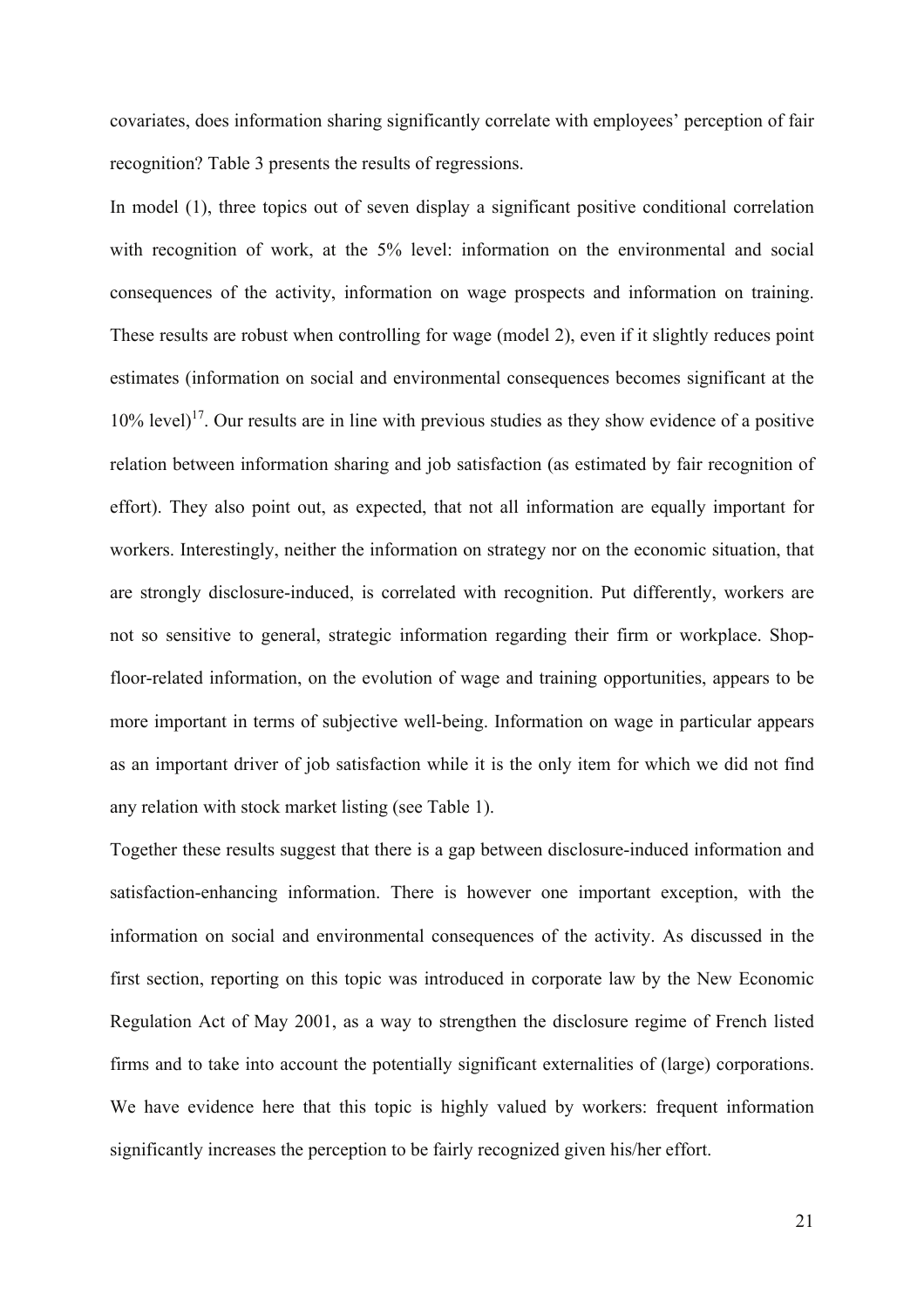covariates, does information sharing significantly correlate with employees' perception of fair recognition? Table 3 presents the results of regressions.

In model (1), three topics out of seven display a significant positive conditional correlation with recognition of work, at the 5% level: information on the environmental and social consequences of the activity, information on wage prospects and information on training. These results are robust when controlling for wage (model 2), even if it slightly reduces point estimates (information on social and environmental consequences becomes significant at the  $10\%$  level)<sup>17</sup>. Our results are in line with previous studies as they show evidence of a positive relation between information sharing and job satisfaction (as estimated by fair recognition of effort). They also point out, as expected, that not all information are equally important for workers. Interestingly, neither the information on strategy nor on the economic situation, that are strongly disclosure-induced, is correlated with recognition. Put differently, workers are not so sensitive to general, strategic information regarding their firm or workplace. Shopfloor-related information, on the evolution of wage and training opportunities, appears to be more important in terms of subjective well-being. Information on wage in particular appears as an important driver of job satisfaction while it is the only item for which we did not find any relation with stock market listing (see Table 1).

Together these results suggest that there is a gap between disclosure-induced information and satisfaction-enhancing information. There is however one important exception, with the information on social and environmental consequences of the activity. As discussed in the first section, reporting on this topic was introduced in corporate law by the New Economic Regulation Act of May 2001, as a way to strengthen the disclosure regime of French listed firms and to take into account the potentially significant externalities of (large) corporations. We have evidence here that this topic is highly valued by workers: frequent information significantly increases the perception to be fairly recognized given his/her effort.

21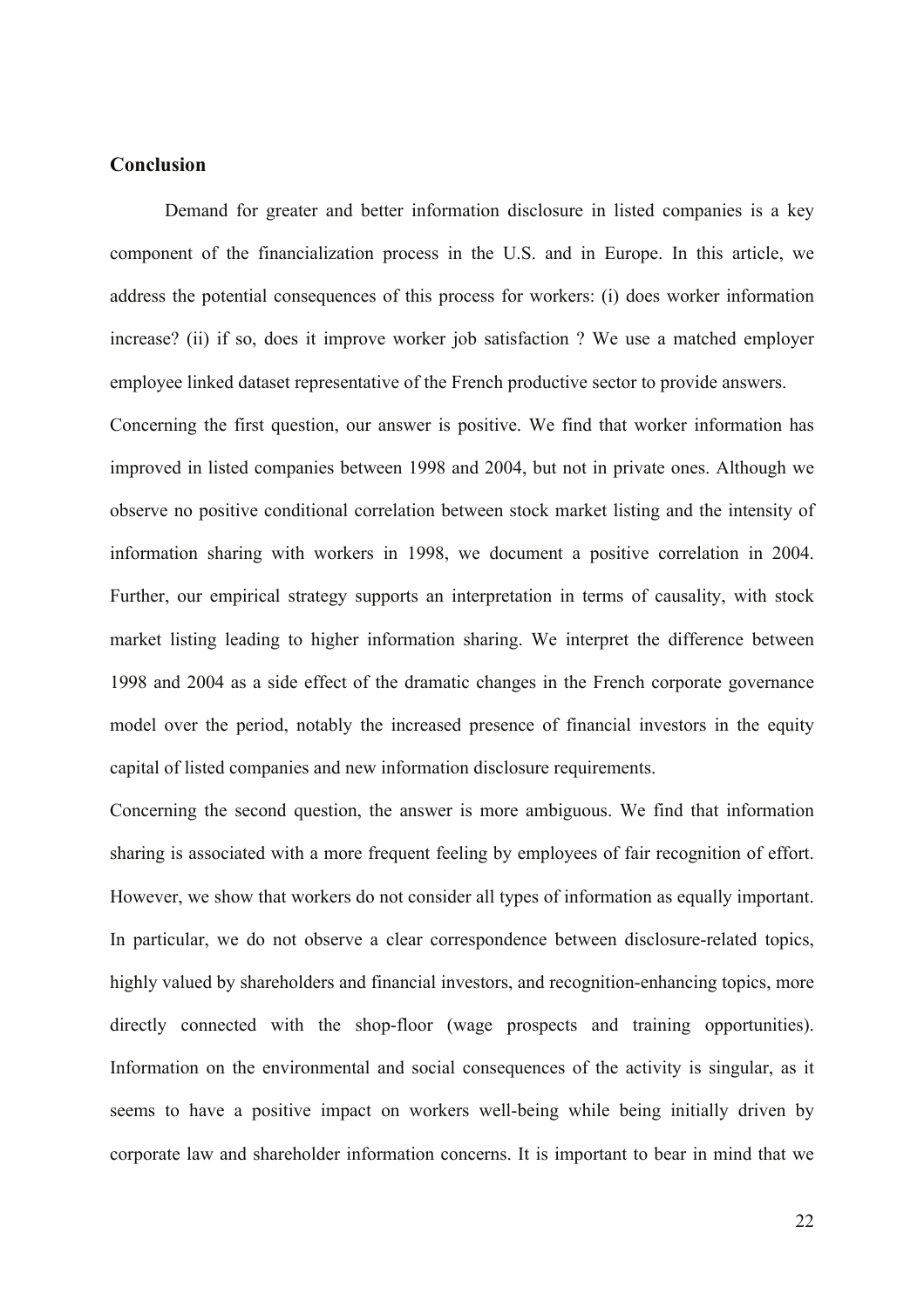#### **Conclusion**

Demand for greater and better information disclosure in listed companies is a key component of the financialization process in the U.S. and in Europe. In this article, we address the potential consequences of this process for workers: (i) does worker information increase? (ii) if so, does it improve worker job satisfaction ? We use a matched employer employee linked dataset representative of the French productive sector to provide answers.

Concerning the first question, our answer is positive. We find that worker information has improved in listed companies between 1998 and 2004, but not in private ones. Although we observe no positive conditional correlation between stock market listing and the intensity of information sharing with workers in 1998, we document a positive correlation in 2004. Further, our empirical strategy supports an interpretation in terms of causality, with stock market listing leading to higher information sharing. We interpret the difference between 1998 and 2004 as a side effect of the dramatic changes in the French corporate governance model over the period, notably the increased presence of financial investors in the equity capital of listed companies and new information disclosure requirements.

Concerning the second question, the answer is more ambiguous. We find that information sharing is associated with a more frequent feeling by employees of fair recognition of effort. However, we show that workers do not consider all types of information as equally important. In particular, we do not observe a clear correspondence between disclosure-related topics, highly valued by shareholders and financial investors, and recognition-enhancing topics, more directly connected with the shop-floor (wage prospects and training opportunities). Information on the environmental and social consequences of the activity is singular, as it seems to have a positive impact on workers well-being while being initially driven by corporate law and shareholder information concerns. It is important to bear in mind that we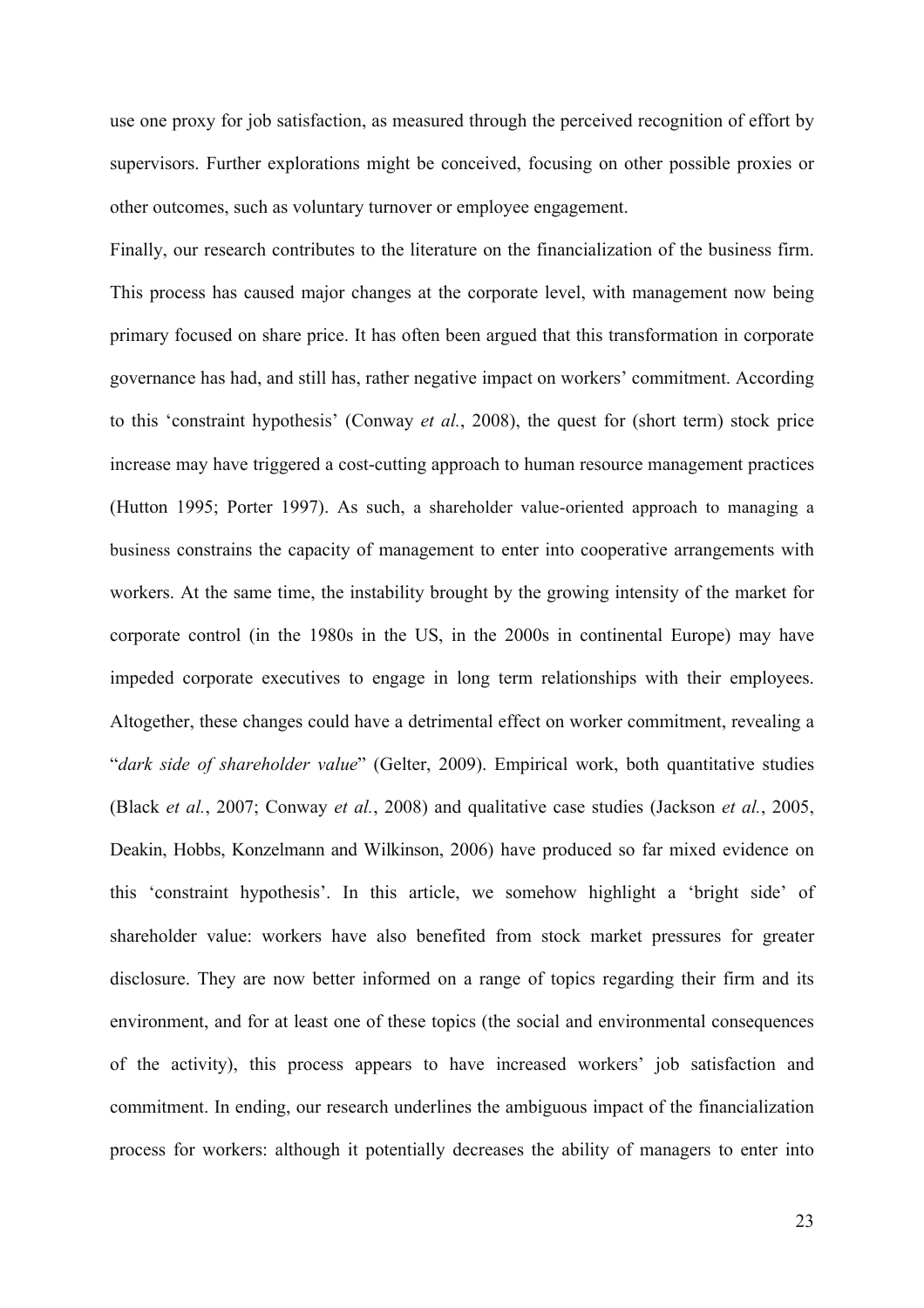use one proxy for job satisfaction, as measured through the perceived recognition of effort by supervisors. Further explorations might be conceived, focusing on other possible proxies or other outcomes, such as voluntary turnover or employee engagement.

Finally, our research contributes to the literature on the financialization of the business firm. This process has caused major changes at the corporate level, with management now being primary focused on share price. It has often been argued that this transformation in corporate governance has had, and still has, rather negative impact on workers' commitment. According to this 'constraint hypothesis' (Conway *et al.*, 2008), the quest for (short term) stock price increase may have triggered a cost-cutting approach to human resource management practices (Hutton 1995; Porter 1997). As such, a shareholder value-oriented approach to managing a business constrains the capacity of management to enter into cooperative arrangements with workers. At the same time, the instability brought by the growing intensity of the market for corporate control (in the 1980s in the US, in the 2000s in continental Europe) may have impeded corporate executives to engage in long term relationships with their employees. Altogether, these changes could have a detrimental effect on worker commitment, revealing a "*dark side of shareholder value*" (Gelter, 2009). Empirical work, both quantitative studies (Black *et al.*, 2007; Conway *et al.*, 2008) and qualitative case studies (Jackson *et al.*, 2005, Deakin, Hobbs, Konzelmann and Wilkinson, 2006) have produced so far mixed evidence on this 'constraint hypothesis'. In this article, we somehow highlight a 'bright side' of shareholder value: workers have also benefited from stock market pressures for greater disclosure. They are now better informed on a range of topics regarding their firm and its environment, and for at least one of these topics (the social and environmental consequences of the activity), this process appears to have increased workers' job satisfaction and commitment. In ending, our research underlines the ambiguous impact of the financialization process for workers: although it potentially decreases the ability of managers to enter into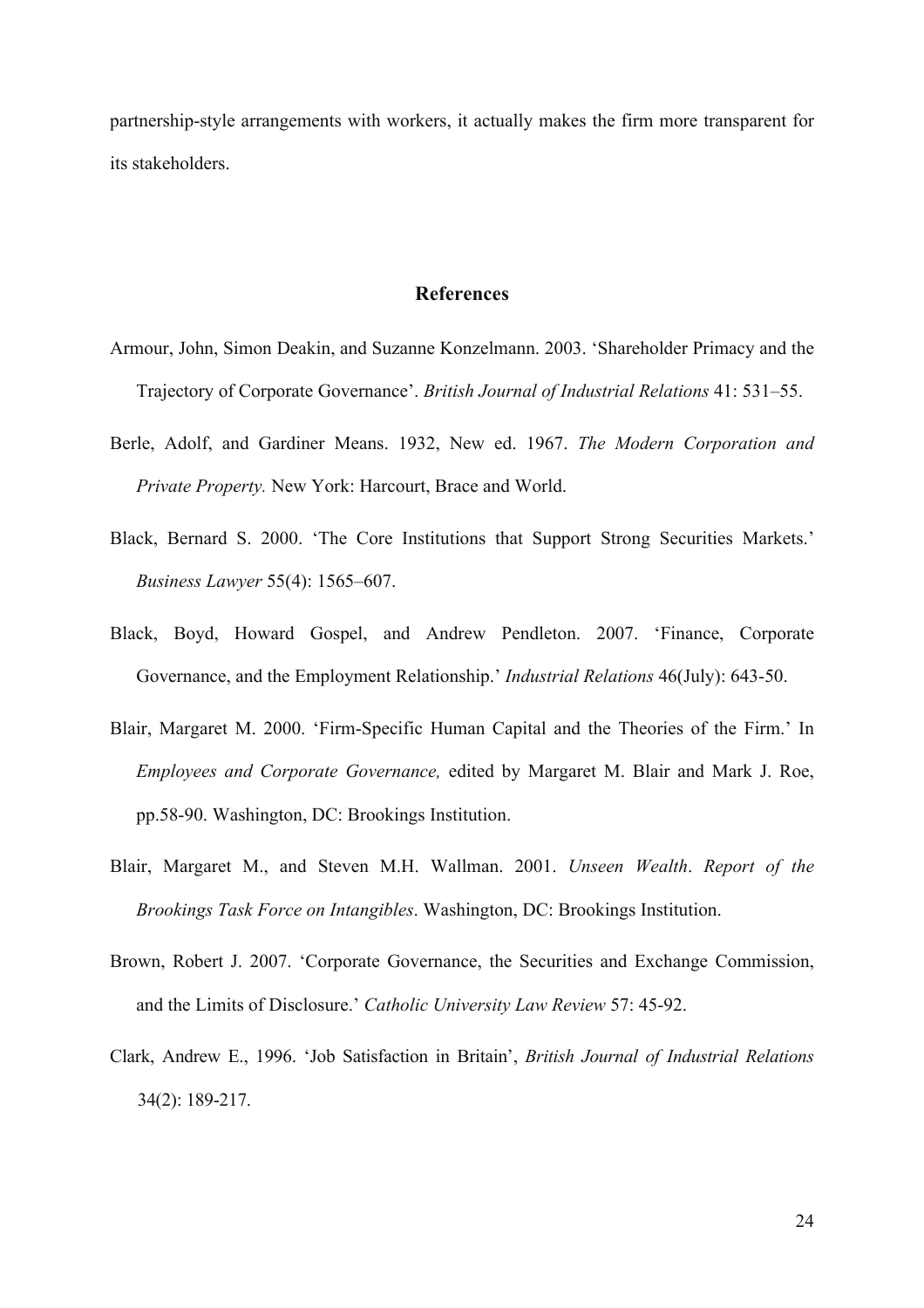partnership-style arrangements with workers, it actually makes the firm more transparent for its stakeholders.

#### **References**

- Armour, John, Simon Deakin, and Suzanne Konzelmann. 2003. 'Shareholder Primacy and the Trajectory of Corporate Governance'. *British Journal of Industrial Relations* 41: 531–55.
- Berle, Adolf, and Gardiner Means. 1932, New ed. 1967. *The Modern Corporation and Private Property.* New York: Harcourt, Brace and World.
- Black, Bernard S. 2000. 'The Core Institutions that Support Strong Securities Markets.' *Business Lawyer* 55(4): 1565–607.
- Black, Boyd, Howard Gospel, and Andrew Pendleton. 2007. 'Finance, Corporate Governance, and the Employment Relationship.' *Industrial Relations* 46(July): 643-50.
- Blair, Margaret M. 2000. 'Firm-Specific Human Capital and the Theories of the Firm.' In *Employees and Corporate Governance,* edited by Margaret M. Blair and Mark J. Roe, pp.58-90. Washington, DC: Brookings Institution.
- Blair, Margaret M., and Steven M.H. Wallman. 2001. *Unseen Wealth*. *Report of the Brookings Task Force on Intangibles*. Washington, DC: Brookings Institution.
- Brown, Robert J. 2007. 'Corporate Governance, the Securities and Exchange Commission, and the Limits of Disclosure.' *Catholic University Law Review* 57: 45-92.
- Clark, Andrew E., 1996. 'Job Satisfaction in Britain', *British Journal of Industrial Relations* 34(2): 189-217.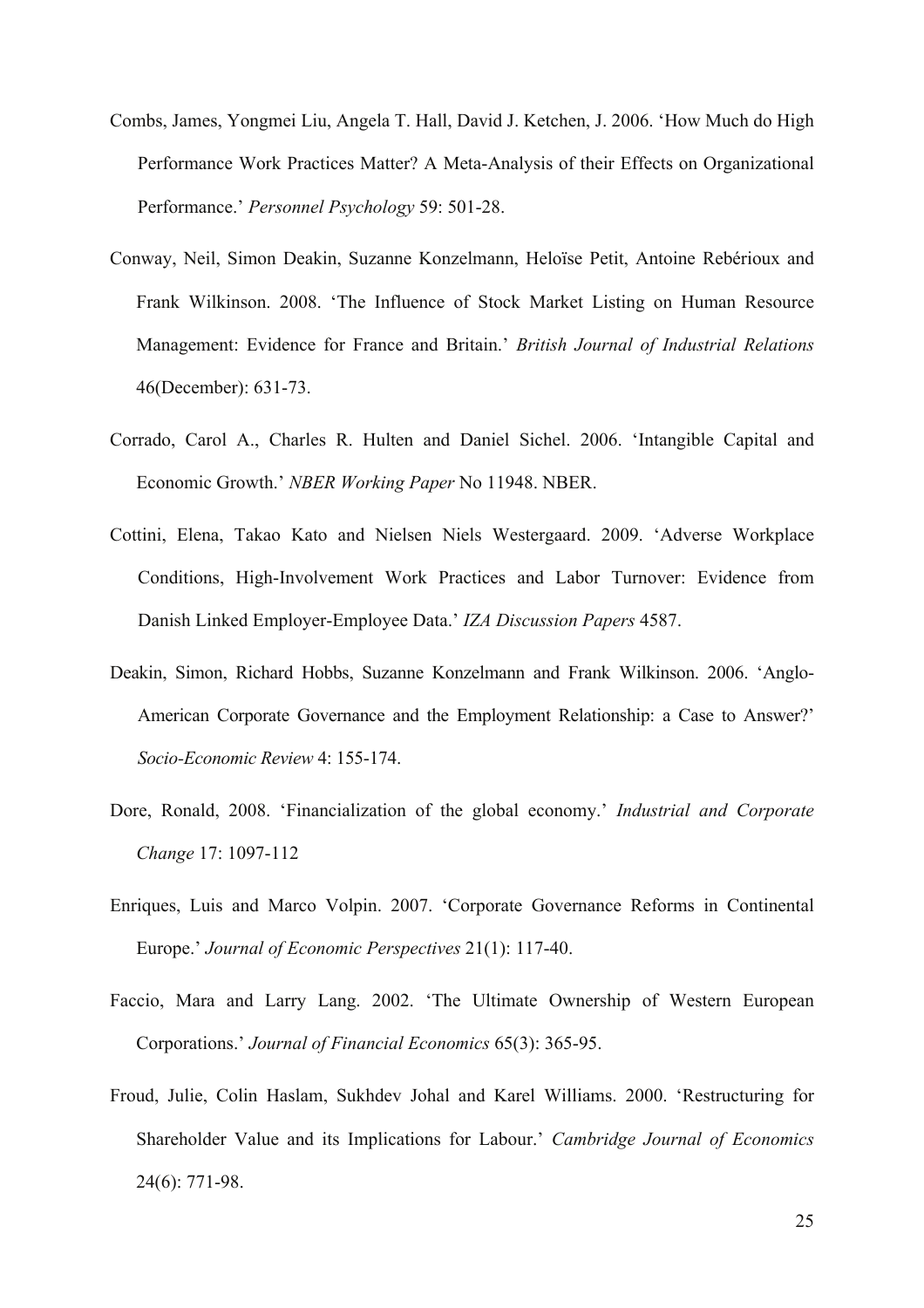- Combs, James, Yongmei Liu, Angela T. Hall, David J. Ketchen, J. 2006. 'How Much do High Performance Work Practices Matter? A Meta-Analysis of their Effects on Organizational Performance.' *Personnel Psychology* 59: 501-28.
- Conway, Neil, Simon Deakin, Suzanne Konzelmann, Heloïse Petit, Antoine Rebérioux and Frank Wilkinson. 2008. 'The Influence of Stock Market Listing on Human Resource Management: Evidence for France and Britain.' *British Journal of Industrial Relations* 46(December): 631-73.
- Corrado, Carol A., Charles R. Hulten and Daniel Sichel. 2006. 'Intangible Capital and Economic Growth.' *NBER Working Paper* No 11948. NBER.
- Cottini, Elena, Takao Kato and Nielsen Niels Westergaard. 2009. 'Adverse Workplace Conditions, High-Involvement Work Practices and Labor Turnover: Evidence from Danish Linked Employer-Employee Data.' *IZA Discussion Papers* 4587.
- Deakin, Simon, Richard Hobbs, Suzanne Konzelmann and Frank Wilkinson. 2006. 'Anglo-American Corporate Governance and the Employment Relationship: a Case to Answer?' *Socio-Economic Review* 4: 155-174.
- Dore, Ronald, 2008. 'Financialization of the global economy.' *Industrial and Corporate Change* 17: 1097-112
- Enriques, Luis and Marco Volpin. 2007. 'Corporate Governance Reforms in Continental Europe.' *Journal of Economic Perspectives* 21(1): 117-40.
- Faccio, Mara and Larry Lang. 2002. 'The Ultimate Ownership of Western European Corporations.' *Journal of Financial Economics* 65(3): 365-95.
- Froud, Julie, Colin Haslam, Sukhdev Johal and Karel Williams. 2000. 'Restructuring for Shareholder Value and its Implications for Labour.' *Cambridge Journal of Economics* 24(6): 771-98.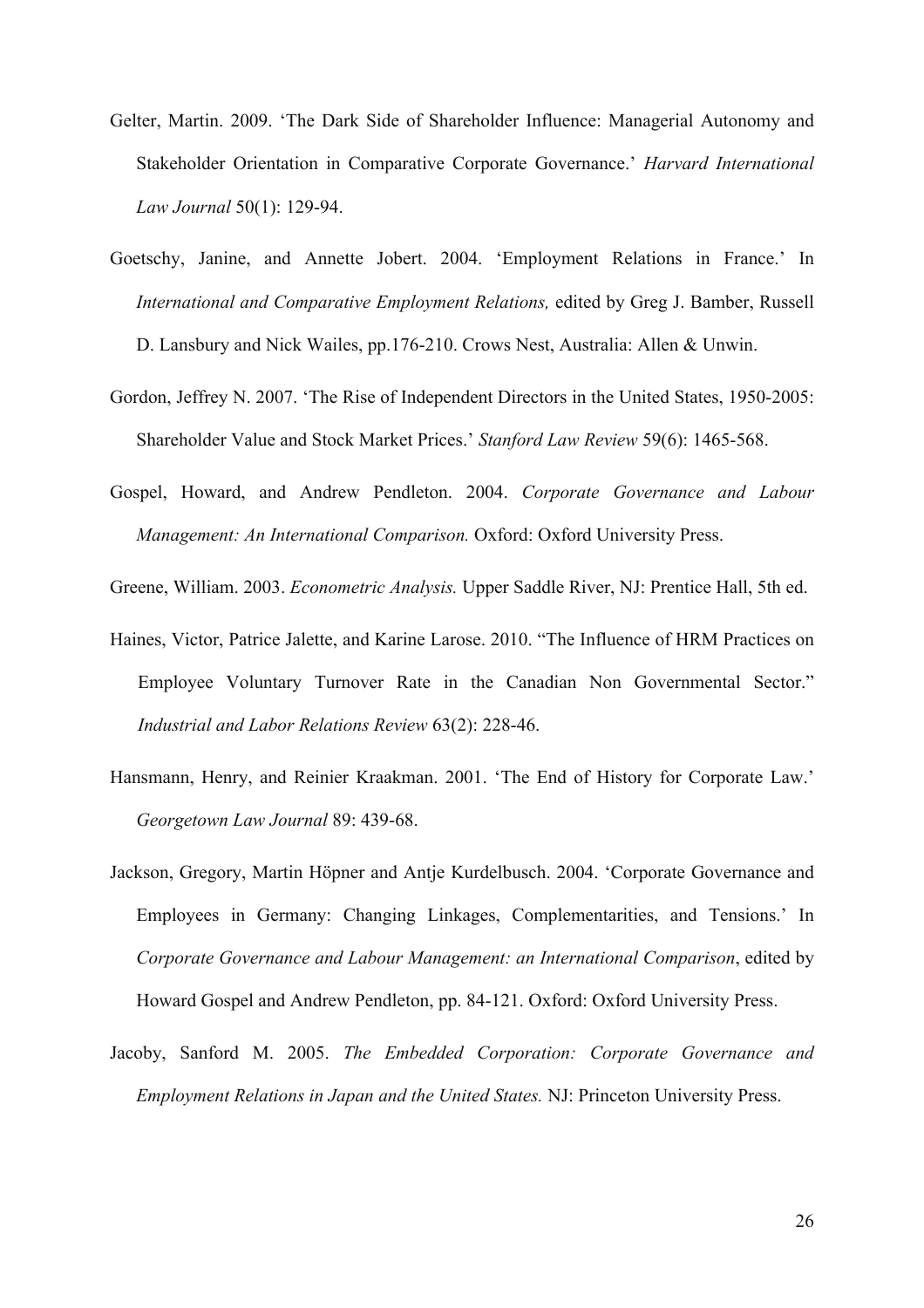- Gelter, Martin. 2009. 'The Dark Side of Shareholder Influence: Managerial Autonomy and Stakeholder Orientation in Comparative Corporate Governance.' *Harvard International Law Journal* 50(1): 129-94.
- Goetschy, Janine, and Annette Jobert. 2004. 'Employment Relations in France.' In *International and Comparative Employment Relations,* edited by Greg J. Bamber, Russell D. Lansbury and Nick Wailes, pp.176-210. Crows Nest, Australia: Allen & Unwin.
- Gordon, Jeffrey N. 2007. 'The Rise of Independent Directors in the United States, 1950-2005: Shareholder Value and Stock Market Prices.' *Stanford Law Review* 59(6): 1465-568.
- Gospel, Howard, and Andrew Pendleton. 2004. *Corporate Governance and Labour Management: An International Comparison.* Oxford: Oxford University Press.

Greene, William. 2003. *Econometric Analysis.* Upper Saddle River, NJ: Prentice Hall, 5th ed.

- Haines, Victor, Patrice Jalette, and Karine Larose. 2010. "The Influence of HRM Practices on Employee Voluntary Turnover Rate in the Canadian Non Governmental Sector." *Industrial and Labor Relations Review* 63(2): 228-46.
- Hansmann, Henry, and Reinier Kraakman. 2001. 'The End of History for Corporate Law.' *Georgetown Law Journal* 89: 439-68.
- Jackson, Gregory, Martin Höpner and Antje Kurdelbusch. 2004. 'Corporate Governance and Employees in Germany: Changing Linkages, Complementarities, and Tensions.' In *Corporate Governance and Labour Management: an International Comparison*, edited by Howard Gospel and Andrew Pendleton, pp. 84-121. Oxford: Oxford University Press.
- Jacoby, Sanford M. 2005. *The Embedded Corporation: Corporate Governance and Employment Relations in Japan and the United States.* NJ: Princeton University Press.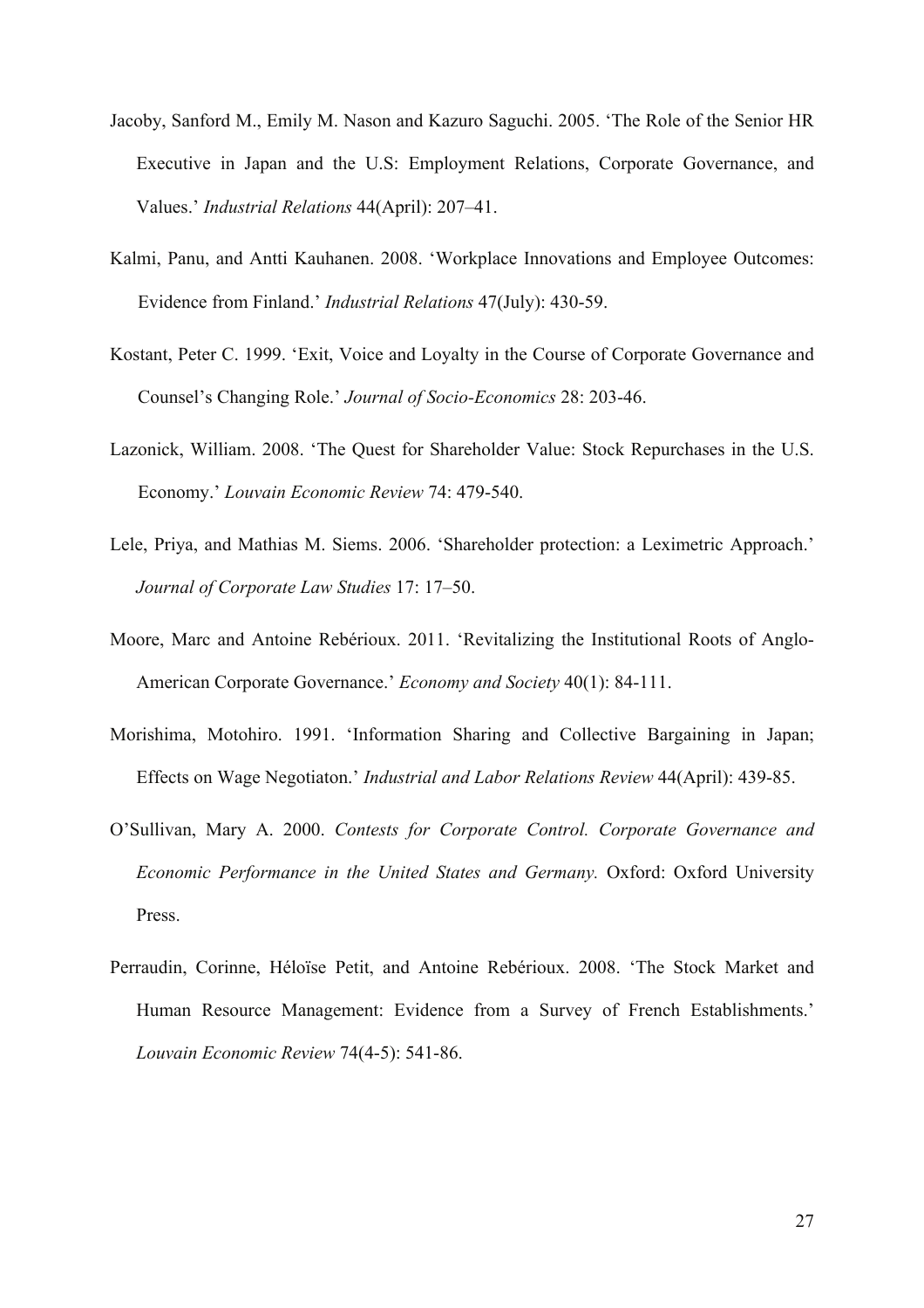- Jacoby, Sanford M., Emily M. Nason and Kazuro Saguchi. 2005. 'The Role of the Senior HR Executive in Japan and the U.S: Employment Relations, Corporate Governance, and Values.' *Industrial Relations* 44(April): 207–41.
- Kalmi, Panu, and Antti Kauhanen. 2008. 'Workplace Innovations and Employee Outcomes: Evidence from Finland.' *Industrial Relations* 47(July): 430-59.
- Kostant, Peter C. 1999. 'Exit, Voice and Loyalty in the Course of Corporate Governance and Counsel's Changing Role.' *Journal of Socio-Economics* 28: 203-46.
- Lazonick, William. 2008. 'The Quest for Shareholder Value: Stock Repurchases in the U.S. Economy.' *Louvain Economic Review* 74: 479-540.
- Lele, Priya, and Mathias M. Siems. 2006. 'Shareholder protection: a Leximetric Approach.' *Journal of Corporate Law Studies* 17: 17–50.
- Moore, Marc and Antoine Rebérioux. 2011. 'Revitalizing the Institutional Roots of Anglo-American Corporate Governance.' *Economy and Society* 40(1): 84-111.
- Morishima, Motohiro. 1991. 'Information Sharing and Collective Bargaining in Japan; Effects on Wage Negotiaton.' *Industrial and Labor Relations Review* 44(April): 439-85.
- O'Sullivan, Mary A. 2000. *Contests for Corporate Control. Corporate Governance and Economic Performance in the United States and Germany.* Oxford: Oxford University Press.
- Perraudin, Corinne, Héloïse Petit, and Antoine Rebérioux. 2008. 'The Stock Market and Human Resource Management: Evidence from a Survey of French Establishments.' *Louvain Economic Review* 74(4-5): 541-86.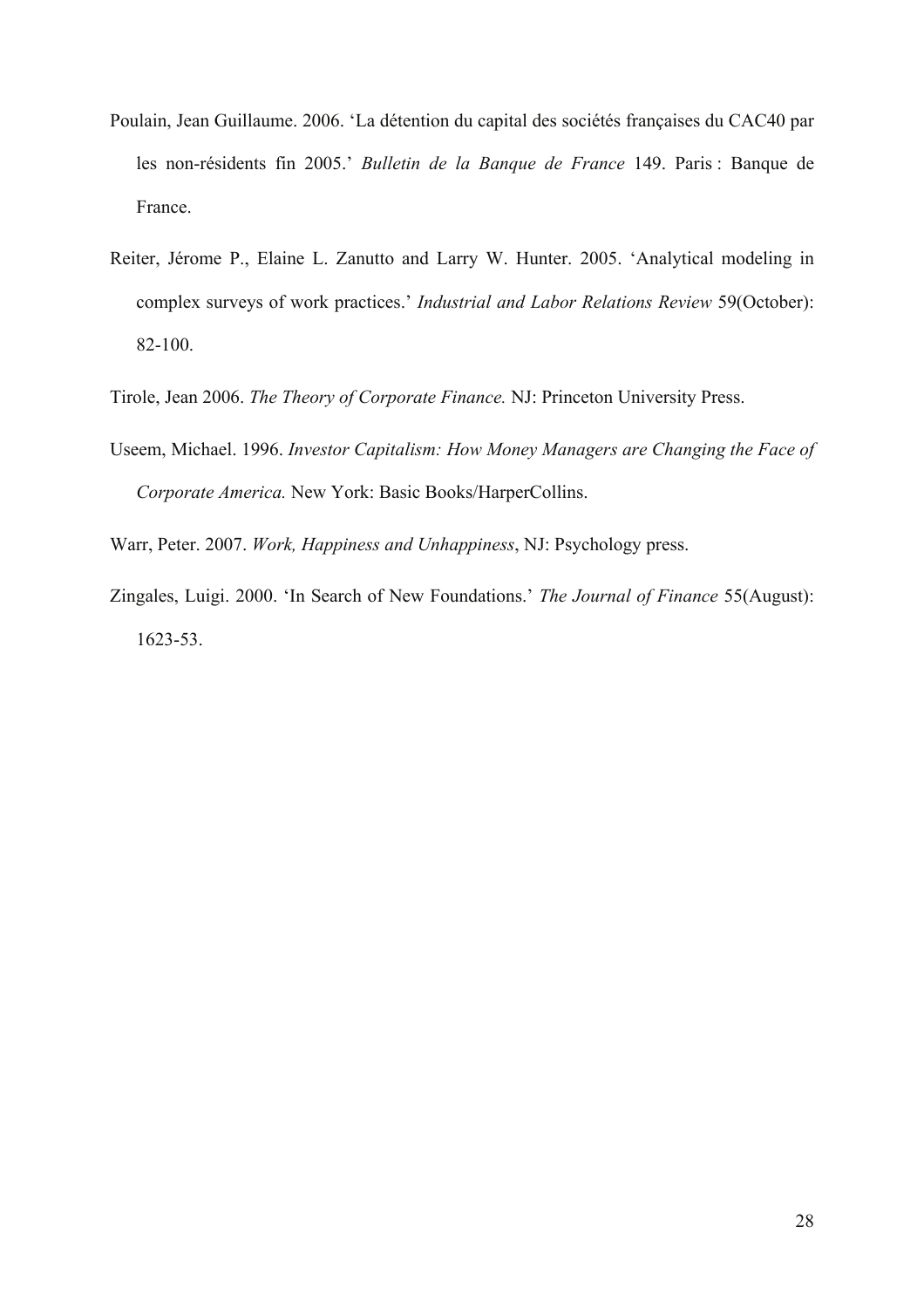- Poulain, Jean Guillaume. 2006. 'La détention du capital des sociétés françaises du CAC40 par les non-résidents fin 2005.' *Bulletin de la Banque de France* 149. Paris : Banque de France.
- Reiter, Jérome P., Elaine L. Zanutto and Larry W. Hunter. 2005. 'Analytical modeling in complex surveys of work practices.' *Industrial and Labor Relations Review* 59(October): 82-100.
- Tirole, Jean 2006. *The Theory of Corporate Finance.* NJ: Princeton University Press.
- Useem, Michael. 1996. *Investor Capitalism: How Money Managers are Changing the Face of Corporate America.* New York: Basic Books/HarperCollins.
- Warr, Peter. 2007. *Work, Happiness and Unhappiness*, NJ: Psychology press.
- Zingales, Luigi. 2000. 'In Search of New Foundations.' *The Journal of Finance* 55(August): 1623-53.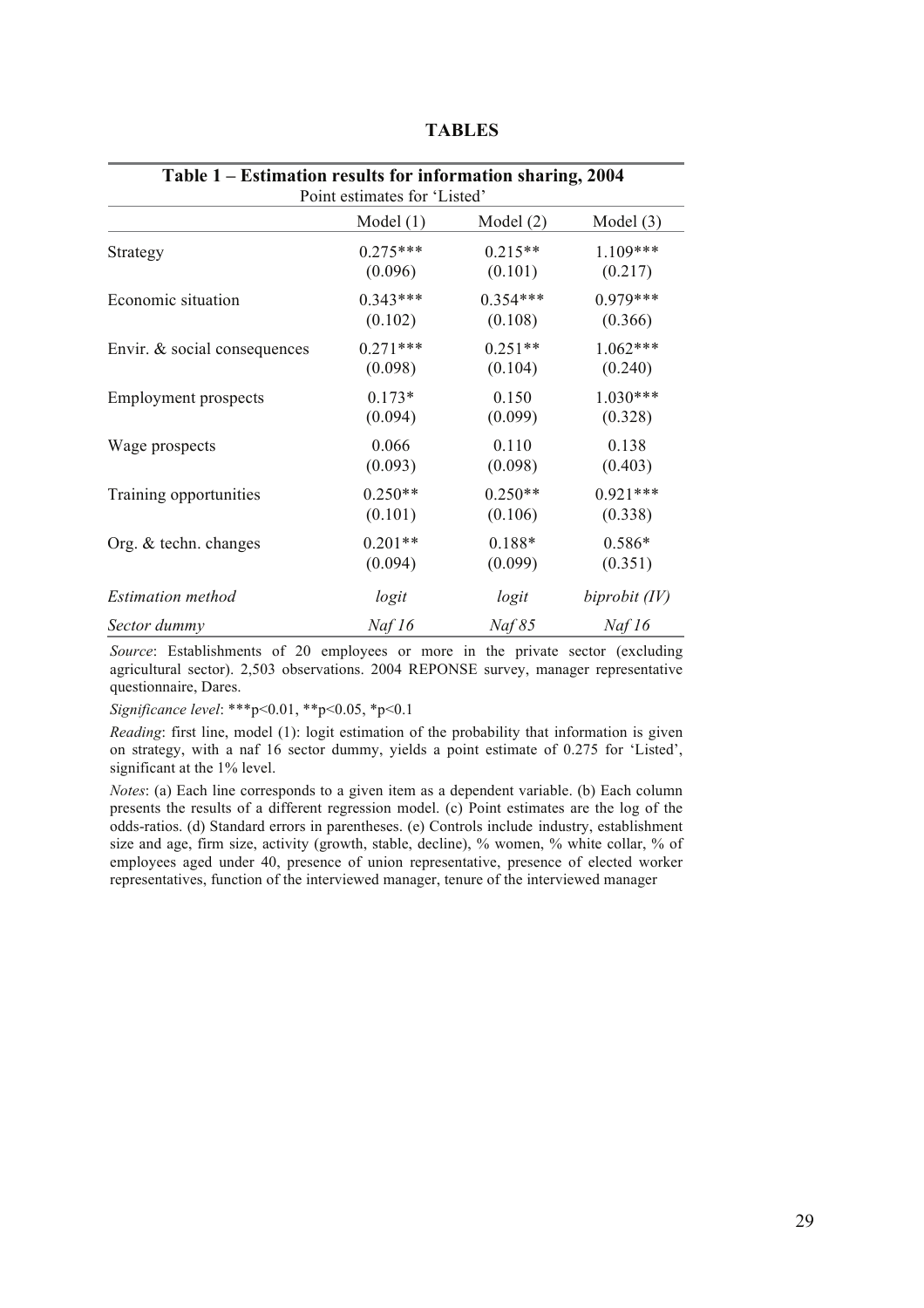| Table 1 – Estimation results for information sharing, 2004<br>Point estimates for 'Listed' |             |             |                 |
|--------------------------------------------------------------------------------------------|-------------|-------------|-----------------|
|                                                                                            | Model $(1)$ | Model $(2)$ | Model $(3)$     |
| Strategy                                                                                   | $0.275***$  | $0.215**$   | $1.109***$      |
|                                                                                            | (0.096)     | (0.101)     | (0.217)         |
| Economic situation                                                                         | $0.343***$  | $0.354***$  | $0.979***$      |
|                                                                                            | (0.102)     | (0.108)     | (0.366)         |
| Envir. & social consequences                                                               | $0.271***$  | $0.251**$   | $1.062***$      |
|                                                                                            | (0.098)     | (0.104)     | (0.240)         |
| <b>Employment</b> prospects                                                                | $0.173*$    | 0.150       | 1.030***        |
|                                                                                            | (0.094)     | (0.099)     | (0.328)         |
| Wage prospects                                                                             | 0.066       | 0.110       | 0.138           |
|                                                                                            | (0.093)     | (0.098)     | (0.403)         |
| Training opportunities                                                                     | $0.250**$   | $0.250**$   | $0.921***$      |
|                                                                                            | (0.101)     | (0.106)     | (0.338)         |
| Org. & techn. changes                                                                      | $0.201**$   | 0.188*      | 0.586*          |
|                                                                                            | (0.094)     | (0.099)     | (0.351)         |
| <i>Estimation method</i>                                                                   | logit       | logit       | biprobit $(IV)$ |
| Sector dummy                                                                               | Naf $16$    | Naf 85      | Naf $16$        |

**TABLES**

*Source*: Establishments of 20 employees or more in the private sector (excluding agricultural sector). 2,503 observations. 2004 REPONSE survey, manager representative questionnaire, Dares.

*Significance level*: \*\*\*p<0.01, \*\*p<0.05, \*p<0.1

*Reading*: first line, model (1): logit estimation of the probability that information is given on strategy, with a naf 16 sector dummy, yields a point estimate of 0.275 for 'Listed', significant at the 1% level.

*Notes*: (a) Each line corresponds to a given item as a dependent variable. (b) Each column presents the results of a different regression model. (c) Point estimates are the log of the odds-ratios. (d) Standard errors in parentheses. (e) Controls include industry, establishment size and age, firm size, activity (growth, stable, decline), % women, % white collar, % of employees aged under 40, presence of union representative, presence of elected worker representatives, function of the interviewed manager, tenure of the interviewed manager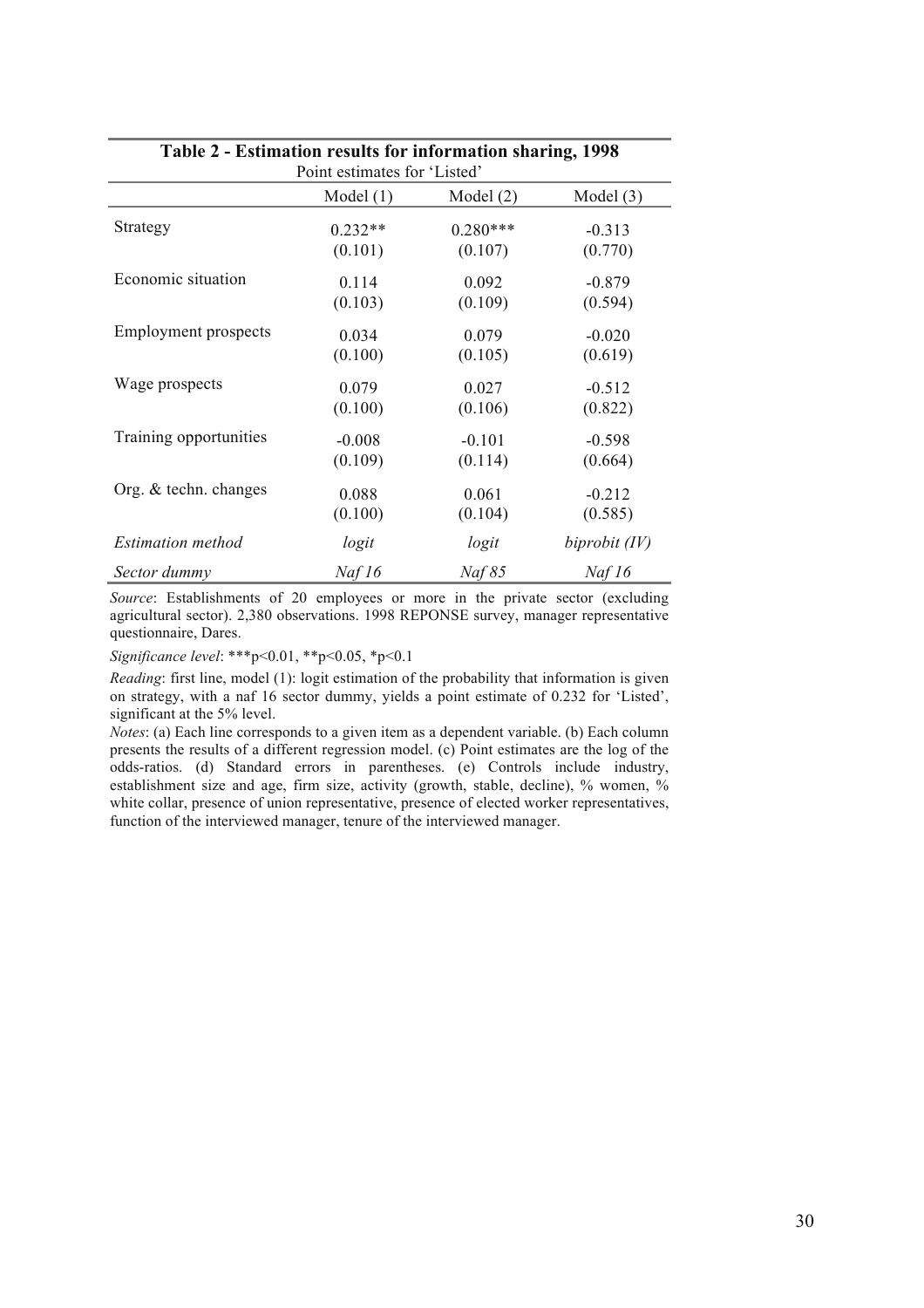| o,<br>Point estimates for 'Listed' |             |             |               |
|------------------------------------|-------------|-------------|---------------|
|                                    | Model $(1)$ | Model $(2)$ | Model $(3)$   |
| Strategy                           | $0.232**$   | $0.280***$  | $-0.313$      |
|                                    | (0.101)     | (0.107)     | (0.770)       |
| Economic situation                 | 0.114       | 0.092       | $-0.879$      |
|                                    | (0.103)     | (0.109)     | (0.594)       |
| <b>Employment</b> prospects        | 0.034       | 0.079       | $-0.020$      |
|                                    | (0.100)     | (0.105)     | (0.619)       |
| Wage prospects                     | 0.079       | 0.027       | $-0.512$      |
|                                    | (0.100)     | (0.106)     | (0.822)       |
| Training opportunities             | $-0.008$    | $-0.101$    | $-0.598$      |
|                                    | (0.109)     | (0.114)     | (0.664)       |
| Org. & techn. changes              | 0.088       | 0.061       | $-0.212$      |
|                                    | (0.100)     | (0.104)     | (0.585)       |
| <i>Estimation method</i>           | logit       | logit       | biprobit (IV) |
| Sector dummy                       | Naf16       | Naf 85      | Naf16         |

## **Table 2 - Estimation results for information sharing, 1998**

*Source*: Establishments of 20 employees or more in the private sector (excluding agricultural sector). 2,380 observations. 1998 REPONSE survey, manager representative questionnaire, Dares.

*Significance level*: \*\*\*p<0.01, \*\*p<0.05, \*p<0.1

*Reading*: first line, model (1): logit estimation of the probability that information is given on strategy, with a naf 16 sector dummy, yields a point estimate of 0.232 for 'Listed', significant at the 5% level.

*Notes*: (a) Each line corresponds to a given item as a dependent variable. (b) Each column presents the results of a different regression model. (c) Point estimates are the log of the odds-ratios. (d) Standard errors in parentheses. (e) Controls include industry, establishment size and age, firm size, activity (growth, stable, decline), % women, % white collar, presence of union representative, presence of elected worker representatives, function of the interviewed manager, tenure of the interviewed manager.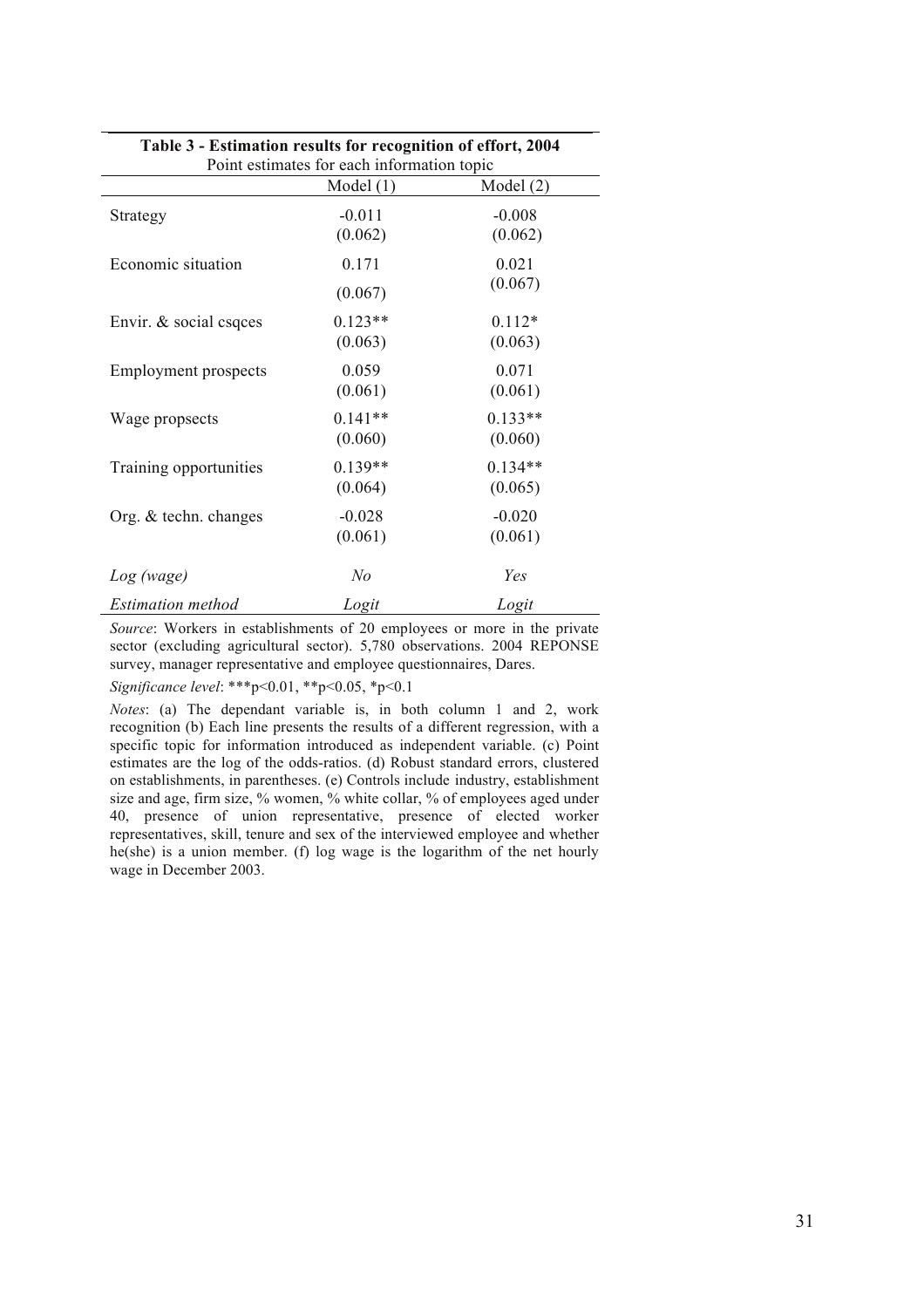| Table 3 - Estimation results for recognition of effort, 2004<br>Point estimates for each information topic |                      |                      |  |  |
|------------------------------------------------------------------------------------------------------------|----------------------|----------------------|--|--|
| Model $(1)$<br>Model $(2)$                                                                                 |                      |                      |  |  |
| Strategy                                                                                                   | $-0.011$<br>(0.062)  | $-0.008$<br>(0.062)  |  |  |
| Economic situation                                                                                         | 0.171<br>(0.067)     | 0.021<br>(0.067)     |  |  |
| Envir. $&$ social csqces                                                                                   | $0.123**$<br>(0.063) | $0.112*$<br>(0.063)  |  |  |
| <b>Employment</b> prospects                                                                                | 0.059<br>(0.061)     | 0.071<br>(0.061)     |  |  |
| Wage propsects                                                                                             | $0.141**$<br>(0.060) | $0.133**$<br>(0.060) |  |  |
| Training opportunities                                                                                     | $0.139**$<br>(0.064) | $0.134**$<br>(0.065) |  |  |
| Org. & techn. changes                                                                                      | $-0.028$<br>(0.061)  | $-0.020$<br>(0.061)  |  |  |
| Log (wage)                                                                                                 | $N$ o                | Yes                  |  |  |
| <i>Estimation method</i>                                                                                   | Logit                | Logit                |  |  |

*Source*: Workers in establishments of 20 employees or more in the private sector (excluding agricultural sector). 5,780 observations. 2004 REPONSE survey, manager representative and employee questionnaires, Dares.

*Significance level*: \*\*\*p<0.01, \*\*p<0.05, \*p<0.1

*Notes*: (a) The dependant variable is, in both column 1 and 2, work recognition (b) Each line presents the results of a different regression, with a specific topic for information introduced as independent variable. (c) Point estimates are the log of the odds-ratios. (d) Robust standard errors, clustered on establishments, in parentheses. (e) Controls include industry, establishment size and age, firm size, % women, % white collar, % of employees aged under 40, presence of union representative, presence of elected worker representatives, skill, tenure and sex of the interviewed employee and whether he(she) is a union member. (f) log wage is the logarithm of the net hourly wage in December 2003.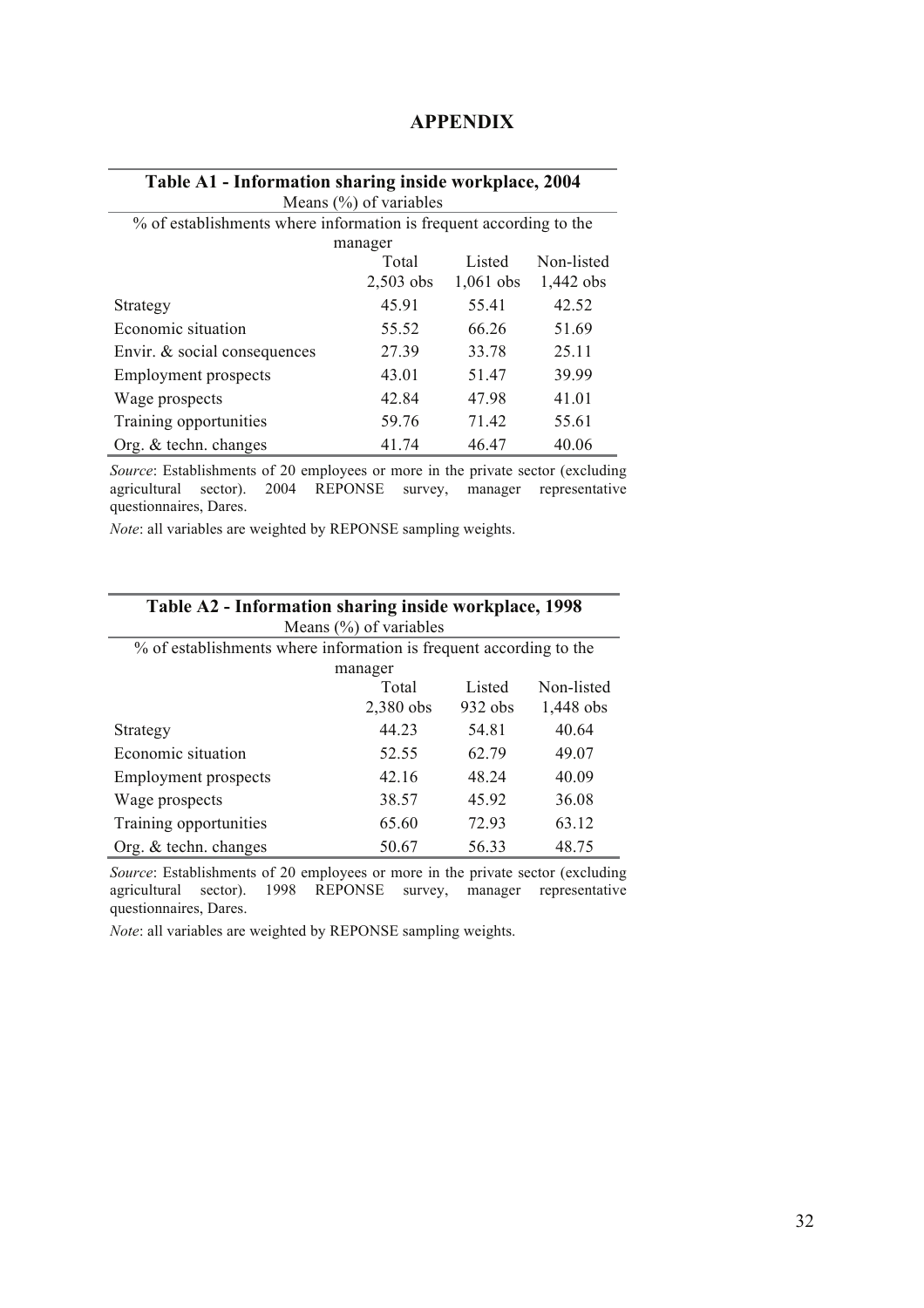| Table A1 - Information sharing inside workplace, 2004              |                           |             |             |
|--------------------------------------------------------------------|---------------------------|-------------|-------------|
|                                                                    | Means $(\%)$ of variables |             |             |
| % of establishments where information is frequent according to the |                           |             |             |
|                                                                    | manager                   |             |             |
|                                                                    | Total                     | Listed      | Non-listed  |
|                                                                    | $2,503$ obs               | $1,061$ obs | $1,442$ obs |
| Strategy                                                           | 45.91                     | 55.41       | 42.52       |
| Economic situation                                                 | 55.52                     | 66.26       | 51.69       |
| Envir. & social consequences                                       | 27.39                     | 33.78       | 25.11       |
| <b>Employment prospects</b>                                        | 43.01                     | 51.47       | 39.99       |
| Wage prospects                                                     | 42.84                     | 47.98       | 41.01       |
| Training opportunities                                             | 59.76                     | 7142        | 55.61       |
| Org. $&$ techn. changes                                            | 41.74                     | 46.47       | 40.06       |

#### **APPENDIX**

*Source*: Establishments of 20 employees or more in the private sector (excluding agricultural sector). 2004 REPONSE survey, manager representative questionnaires, Dares.

*Note*: all variables are weighted by REPONSE sampling weights.

| Table A2 - Information sharing inside workplace, 1998<br>Means $(\% )$ of variables |             |           |            |
|-------------------------------------------------------------------------------------|-------------|-----------|------------|
| % of establishments where information is frequent according to the                  |             |           |            |
|                                                                                     | manager     |           |            |
|                                                                                     | Total       | Listed    | Non-listed |
|                                                                                     | $2,380$ obs | $932$ obs | 1,448 obs  |
| Strategy                                                                            | 44.23       | 54.81     | 40.64      |
| Economic situation                                                                  | 52.55       | 62.79     | 49.07      |
| <b>Employment</b> prospects                                                         | 42 16       | 48 24     | 40.09      |
| Wage prospects                                                                      | 38.57       | 45.92     | 36.08      |
| Training opportunities                                                              | 65.60       | 72.93     | 63.12      |
| Org. $&$ techn. changes                                                             | 50.67       | 56.33     | 48.75      |

*Source*: Establishments of 20 employees or more in the private sector (excluding agricultural sector). 1998 REPONSE survey, manager representative questionnaires, Dares.

*Note*: all variables are weighted by REPONSE sampling weights.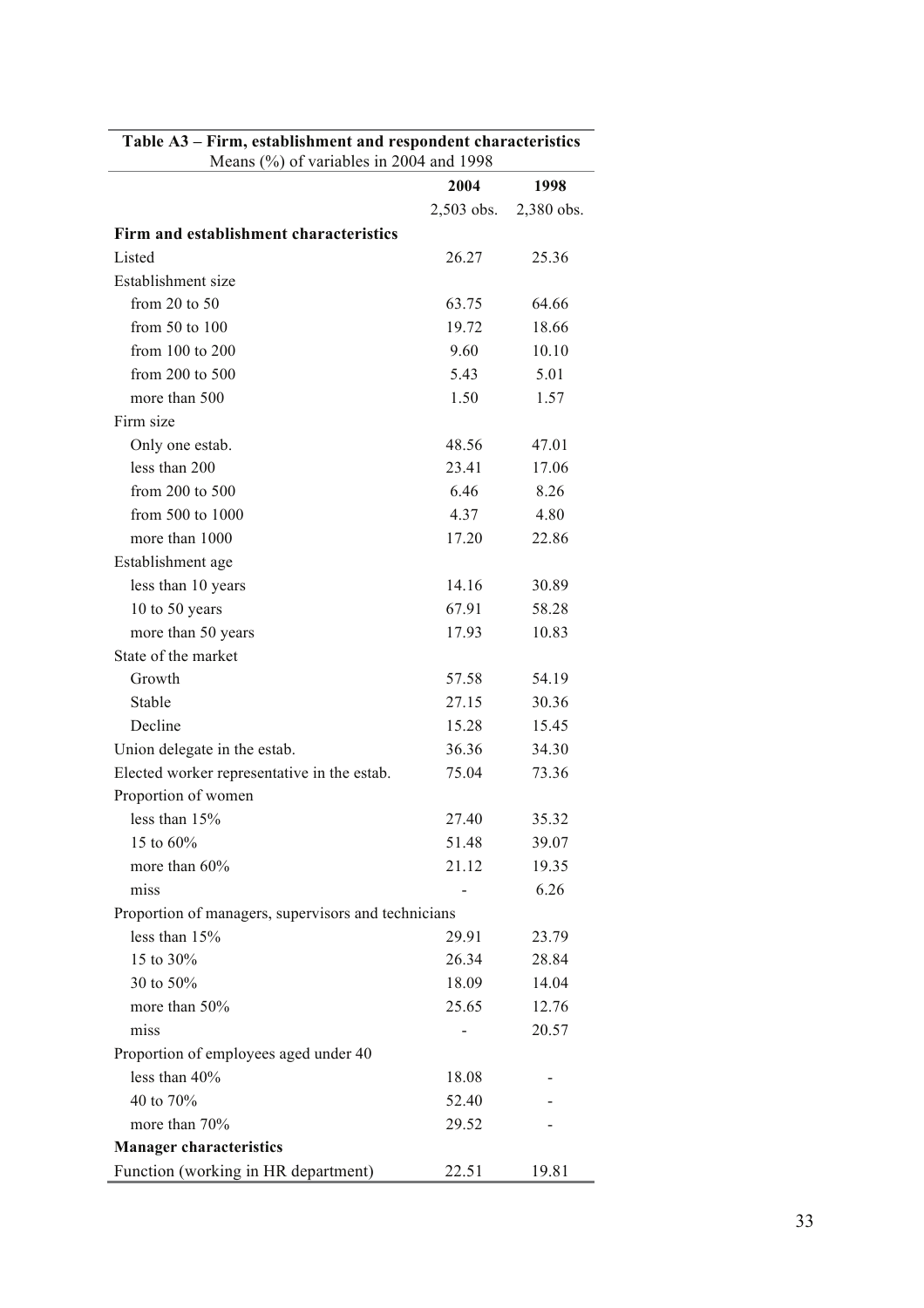| Means $(\%)$ of variables in 2004 and 1998          |              |            |  |
|-----------------------------------------------------|--------------|------------|--|
|                                                     | 2004         | 1998       |  |
|                                                     | $2,503$ obs. | 2,380 obs. |  |
| Firm and establishment characteristics              |              |            |  |
| Listed                                              | 26.27        | 25.36      |  |
| Establishment size                                  |              |            |  |
| from $20$ to $50$                                   | 63.75        | 64.66      |  |
| from $50$ to $100$                                  | 19.72        | 18.66      |  |
| from 100 to 200                                     | 9.60         | 10.10      |  |
| from 200 to 500                                     | 5.43         | 5.01       |  |
| more than 500                                       | 1.50         | 1.57       |  |
| Firm size                                           |              |            |  |
| Only one estab.                                     | 48.56        | 47.01      |  |
| less than 200                                       | 23.41        | 17.06      |  |
| from 200 to 500                                     | 6.46         | 8.26       |  |
| from 500 to 1000                                    | 4.37         | 4.80       |  |
| more than 1000                                      | 17.20        | 22.86      |  |
| Establishment age                                   |              |            |  |
| less than 10 years                                  | 14.16        | 30.89      |  |
| 10 to 50 years                                      | 67.91        | 58.28      |  |
| more than 50 years                                  | 17.93        | 10.83      |  |
| State of the market                                 |              |            |  |
| Growth                                              | 57.58        | 54.19      |  |
| Stable                                              | 27.15        | 30.36      |  |
| Decline                                             | 15.28        | 15.45      |  |
| Union delegate in the estab.                        | 36.36        | 34.30      |  |
| Elected worker representative in the estab.         | 75.04        | 73.36      |  |
| Proportion of women                                 |              |            |  |
| less than 15%                                       | 27.40        | 35.32      |  |
| 15 to 60%                                           | 51.48        | 39.07      |  |
| more than 60%                                       | 21.12        | 19.35      |  |
| miss                                                |              | 6.26       |  |
| Proportion of managers, supervisors and technicians |              |            |  |
| less than 15%                                       | 29.91        | 23.79      |  |
| 15 to 30%                                           | 26.34        | 28.84      |  |
| 30 to 50%                                           | 18.09        | 14.04      |  |
| more than 50%                                       | 25.65        | 12.76      |  |
| miss                                                |              | 20.57      |  |
| Proportion of employees aged under 40               |              |            |  |
| less than 40%                                       | 18.08        |            |  |
| 40 to 70%                                           | 52.40        |            |  |
| more than 70%                                       | 29.52        |            |  |
| <b>Manager characteristics</b>                      |              |            |  |
| Function (working in HR department)                 | 22.51        | 19.81      |  |

## **Table A3 – Firm, establishment and respondent characteristics**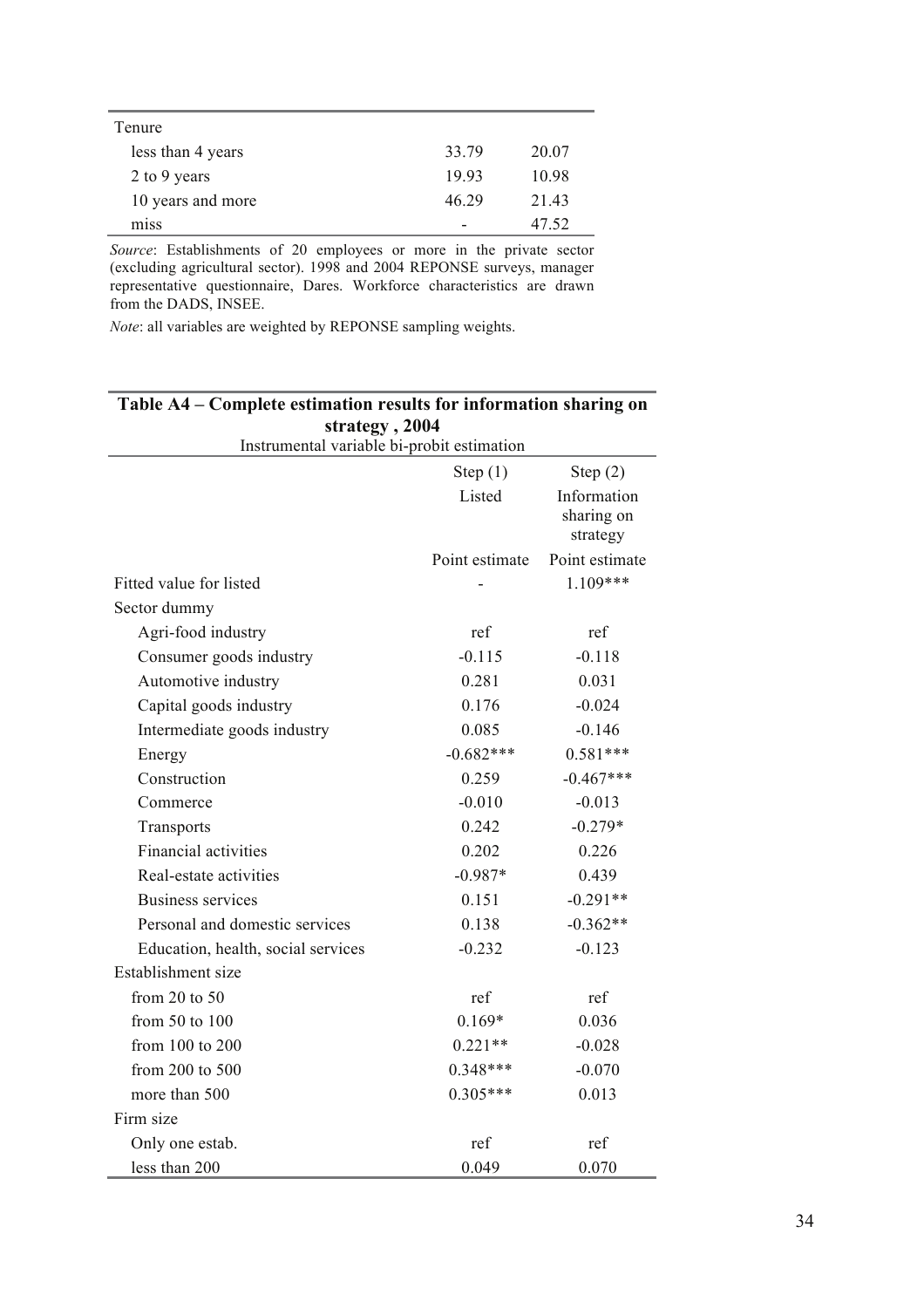| Tenure            |       |       |
|-------------------|-------|-------|
| less than 4 years | 33.79 | 20.07 |
| 2 to 9 years      | 1993  | 10.98 |
| 10 years and more | 46 29 | 21.43 |
| miss              | -     | 47.52 |

*Source*: Establishments of 20 employees or more in the private sector (excluding agricultural sector). 1998 and 2004 REPONSE surveys, manager representative questionnaire, Dares. Workforce characteristics are drawn from the DADS, INSEE.

*Note*: all variables are weighted by REPONSE sampling weights.

| strategy, 2004                             |                |                                       |  |
|--------------------------------------------|----------------|---------------------------------------|--|
| Instrumental variable bi-probit estimation |                |                                       |  |
|                                            | Step $(1)$     | Step $(2)$                            |  |
|                                            | Listed         | Information<br>sharing on<br>strategy |  |
|                                            | Point estimate | Point estimate                        |  |
| Fitted value for listed                    |                | $1.109***$                            |  |
| Sector dummy                               |                |                                       |  |
| Agri-food industry                         | ref            | ref                                   |  |
| Consumer goods industry                    | $-0.115$       | $-0.118$                              |  |
| Automotive industry                        | 0.281          | 0.031                                 |  |
| Capital goods industry                     | 0.176          | $-0.024$                              |  |
| Intermediate goods industry                | 0.085          | $-0.146$                              |  |
| Energy                                     | $-0.682***$    | $0.581***$                            |  |
| Construction                               | 0.259          | $-0.467***$                           |  |
| Commerce                                   | $-0.010$       | $-0.013$                              |  |
| Transports                                 | 0.242          | $-0.279*$                             |  |
| <b>Financial activities</b>                | 0.202          | 0.226                                 |  |
| Real-estate activities                     | $-0.987*$      | 0.439                                 |  |
| Business services                          | 0.151          | $-0.291**$                            |  |
| Personal and domestic services             | 0.138          | $-0.362**$                            |  |
| Education, health, social services         | $-0.232$       | $-0.123$                              |  |
| Establishment size                         |                |                                       |  |
| from $20$ to $50$                          | ref            | ref                                   |  |
| from 50 to 100                             | $0.169*$       | 0.036                                 |  |
| from 100 to 200                            | $0.221**$      | $-0.028$                              |  |
| from 200 to 500                            | $0.348***$     | $-0.070$                              |  |
| more than 500                              | $0.305***$     | 0.013                                 |  |
| Firm size                                  |                |                                       |  |
| Only one estab.                            | ref            | ref                                   |  |
| less than 200                              | 0.049          | 0.070                                 |  |

## **Table A4 – Complete estimation results for information sharing on strategy , 2004**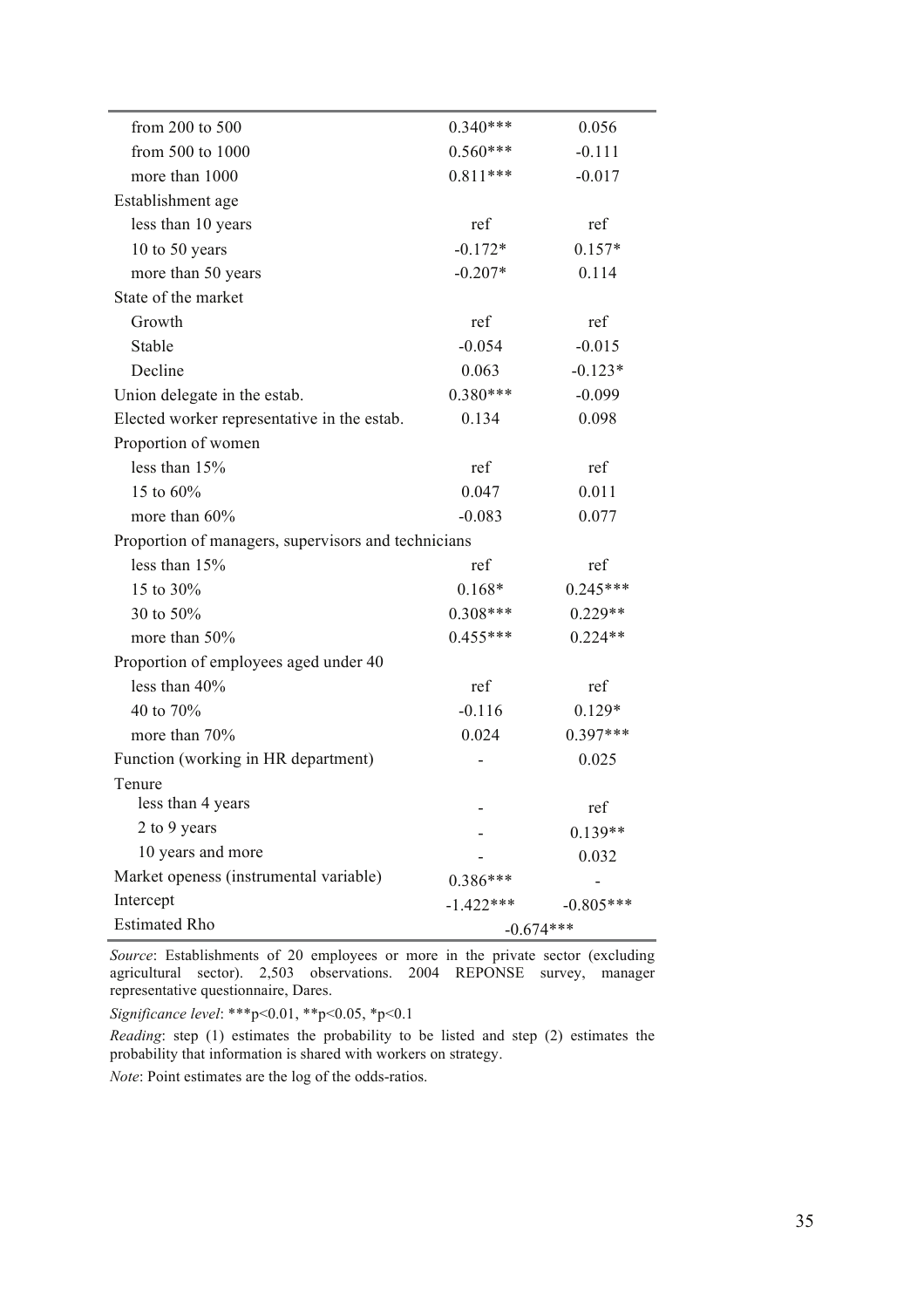| from 200 to 500                                     | $0.340***$  | 0.056       |
|-----------------------------------------------------|-------------|-------------|
| from 500 to 1000                                    | $0.560***$  | $-0.111$    |
| more than 1000                                      | $0.811***$  | $-0.017$    |
| Establishment age                                   |             |             |
| less than 10 years                                  | ref         | ref         |
| 10 to 50 years                                      | $-0.172*$   | $0.157*$    |
| more than 50 years                                  | $-0.207*$   | 0.114       |
| State of the market                                 |             |             |
| Growth                                              | ref         | ref         |
| Stable                                              | $-0.054$    | $-0.015$    |
| Decline                                             | 0.063       | $-0.123*$   |
| Union delegate in the estab.                        | $0.380***$  | $-0.099$    |
| Elected worker representative in the estab.         | 0.134       | 0.098       |
| Proportion of women                                 |             |             |
| less than $15%$                                     | ref         | ref         |
| 15 to 60%                                           | 0.047       | 0.011       |
| more than 60%                                       | $-0.083$    | 0.077       |
| Proportion of managers, supervisors and technicians |             |             |
| less than 15%                                       | ref         | ref         |
| 15 to 30%                                           | $0.168*$    | $0.245***$  |
| 30 to 50%                                           | $0.308***$  | $0.229**$   |
| more than 50%                                       | $0.455***$  | $0.224**$   |
| Proportion of employees aged under 40               |             |             |
| less than 40%                                       | ref         | ref         |
| 40 to 70%                                           | $-0.116$    | $0.129*$    |
| more than 70%                                       | 0.024       | $0.397***$  |
| Function (working in HR department)                 |             | 0.025       |
| Tenure                                              |             |             |
| less than 4 years                                   |             | ref         |
| 2 to 9 years                                        |             | $0.139**$   |
| 10 years and more                                   |             | 0.032       |
| Market openess (instrumental variable)              | $0.386***$  |             |
| Intercept                                           | $-1.422***$ | $-0.805***$ |
| <b>Estimated Rho</b>                                | $-0.674***$ |             |

*Source*: Establishments of 20 employees or more in the private sector (excluding agricultural sector). 2,503 observations. 2004 REPONSE survey, manager representative questionnaire, Dares.

*Significance level*: \*\*\*p<0.01, \*\*p<0.05, \*p<0.1

*Reading*: step (1) estimates the probability to be listed and step (2) estimates the probability that information is shared with workers on strategy.

*Note*: Point estimates are the log of the odds-ratios.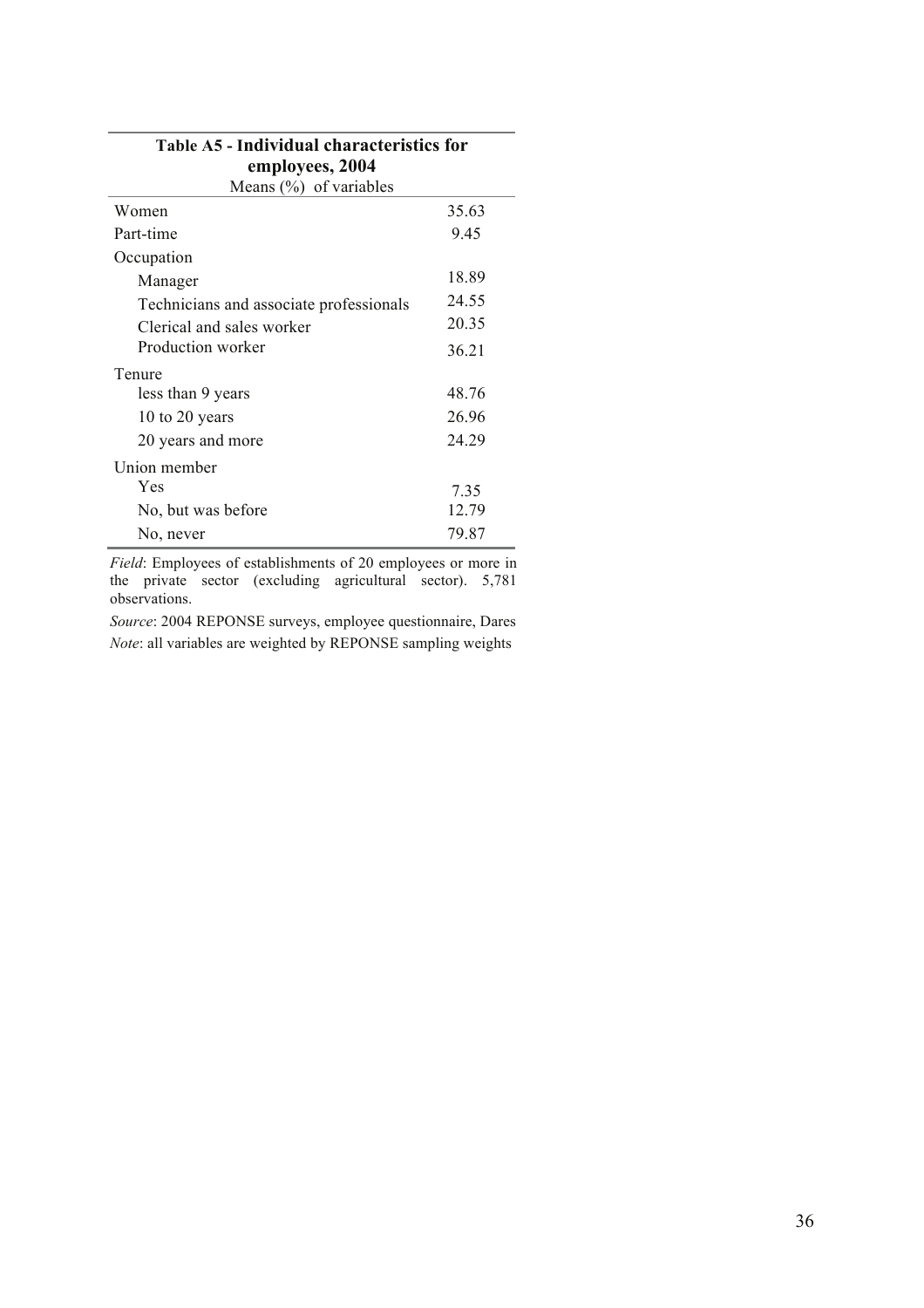| Table A5 - Individual characteristics for |       |  |
|-------------------------------------------|-------|--|
| employees, 2004                           |       |  |
| Means $(\%)$ of variables                 |       |  |
| Women                                     | 35.63 |  |
| Part-time                                 | 9.45  |  |
| Occupation                                |       |  |
| Manager                                   | 18.89 |  |
| Technicians and associate professionals   | 24.55 |  |
| Clerical and sales worker                 | 20.35 |  |
| Production worker                         | 36.21 |  |
| Tenure                                    |       |  |
| less than 9 years                         | 48.76 |  |
| 10 to 20 years                            | 26.96 |  |
| 20 years and more                         | 24.29 |  |
| Union member                              |       |  |
| Yes                                       | 7.35  |  |
| No, but was before                        | 12.79 |  |
| No, never                                 | 79.87 |  |

*Field*: Employees of establishments of 20 employees or more in the private sector (excluding agricultural sector). 5,781 observations.

*Source*: 2004 REPONSE surveys, employee questionnaire, Dares *Note*: all variables are weighted by REPONSE sampling weights